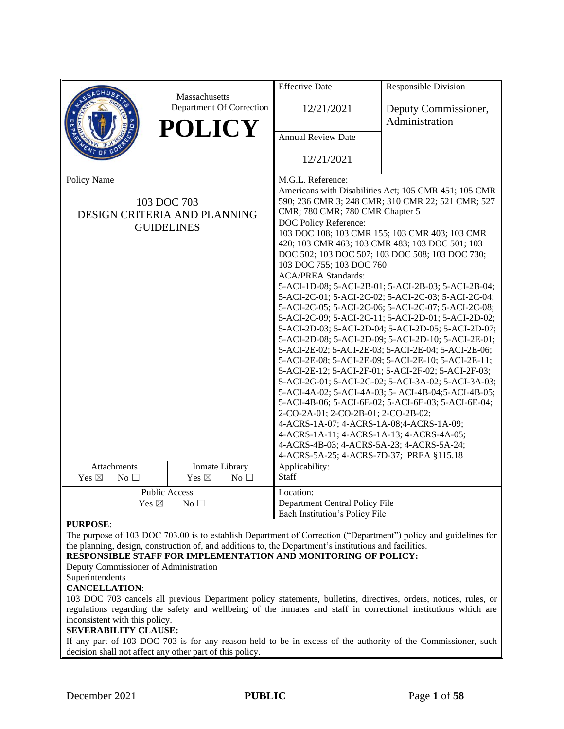|                              |                                           | <b>Effective Date</b>                                                                                      | <b>Responsible Division</b>                                                                                |  |
|------------------------------|-------------------------------------------|------------------------------------------------------------------------------------------------------------|------------------------------------------------------------------------------------------------------------|--|
|                              | Massachusetts<br>Department Of Correction | 12/21/2021                                                                                                 | Deputy Commissioner,<br>Administration                                                                     |  |
|                              | <b>POLICY</b>                             | <b>Annual Review Date</b>                                                                                  |                                                                                                            |  |
|                              |                                           | 12/21/2021                                                                                                 |                                                                                                            |  |
| Policy Name                  |                                           | M.G.L. Reference:                                                                                          |                                                                                                            |  |
|                              | 103 DOC 703                               | CMR; 780 CMR; 780 CMR Chapter 5                                                                            | Americans with Disabilities Act; 105 CMR 451; 105 CMR<br>590; 236 CMR 3; 248 CMR; 310 CMR 22; 521 CMR; 527 |  |
|                              | DESIGN CRITERIA AND PLANNING              | DOC Policy Reference:                                                                                      |                                                                                                            |  |
|                              | <b>GUIDELINES</b>                         |                                                                                                            | 103 DOC 108; 103 CMR 155; 103 CMR 403; 103 CMR                                                             |  |
|                              |                                           |                                                                                                            | 420; 103 CMR 463; 103 CMR 483; 103 DOC 501; 103                                                            |  |
|                              |                                           |                                                                                                            | DOC 502; 103 DOC 507; 103 DOC 508; 103 DOC 730;                                                            |  |
|                              |                                           | 103 DOC 755; 103 DOC 760                                                                                   |                                                                                                            |  |
|                              |                                           | <b>ACA/PREA Standards:</b>                                                                                 |                                                                                                            |  |
|                              |                                           | 5-ACI-1D-08; 5-ACI-2B-01; 5-ACI-2B-03; 5-ACI-2B-04;<br>5-ACI-2C-01; 5-ACI-2C-02; 5-ACI-2C-03; 5-ACI-2C-04; |                                                                                                            |  |
|                              |                                           | 5-ACI-2C-05; 5-ACI-2C-06; 5-ACI-2C-07; 5-ACI-2C-08;                                                        |                                                                                                            |  |
|                              |                                           | 5-ACI-2C-09; 5-ACI-2C-11; 5-ACI-2D-01; 5-ACI-2D-02;                                                        |                                                                                                            |  |
|                              |                                           | 5-ACI-2D-03; 5-ACI-2D-04; 5-ACI-2D-05; 5-ACI-2D-07;                                                        |                                                                                                            |  |
|                              |                                           | 5-ACI-2D-08; 5-ACI-2D-09; 5-ACI-2D-10; 5-ACI-2E-01;                                                        |                                                                                                            |  |
|                              |                                           | 5-ACI-2E-02; 5-ACI-2E-03; 5-ACI-2E-04; 5-ACI-2E-06;                                                        |                                                                                                            |  |
|                              |                                           | 5-ACI-2E-08; 5-ACI-2E-09; 5-ACI-2E-10; 5-ACI-2E-11;<br>5-ACI-2E-12; 5-ACI-2F-01; 5-ACI-2F-02; 5-ACI-2F-03; |                                                                                                            |  |
|                              |                                           | 5-ACI-2G-01; 5-ACI-2G-02; 5-ACI-3A-02; 5-ACI-3A-03;                                                        |                                                                                                            |  |
|                              |                                           | 5-ACI-4A-02; 5-ACI-4A-03; 5- ACI-4B-04; 5-ACI-4B-05;                                                       |                                                                                                            |  |
|                              |                                           | 5-ACI-4B-06; 5-ACI-6E-02; 5-ACI-6E-03; 5-ACI-6E-04;                                                        |                                                                                                            |  |
|                              |                                           | 2-CO-2A-01; 2-CO-2B-01; 2-CO-2B-02;                                                                        |                                                                                                            |  |
|                              |                                           | 4-ACRS-1A-07; 4-ACRS-1A-08; 4-ACRS-1A-09;                                                                  |                                                                                                            |  |
|                              |                                           | 4-ACRS-1A-11; 4-ACRS-1A-13; 4-ACRS-4A-05;                                                                  |                                                                                                            |  |
|                              |                                           | 4-ACRS-4B-03; 4-ACRS-5A-23; 4-ACRS-5A-24;<br>4-ACRS-5A-25; 4-ACRS-7D-37; PREA §115.18                      |                                                                                                            |  |
| Attachments                  | Inmate Library                            | Applicability:                                                                                             |                                                                                                            |  |
| Yes $\boxtimes$<br>No $\Box$ | Yes $\boxtimes$<br>No $\square$           | <b>Staff</b>                                                                                               |                                                                                                            |  |
|                              | <b>Public Access</b>                      | Location:                                                                                                  |                                                                                                            |  |
| Yes $\boxtimes$              | No <sub>1</sub>                           | Department Central Policy File                                                                             |                                                                                                            |  |
|                              |                                           | Each Institution's Policy File                                                                             |                                                                                                            |  |

#### **PURPOSE**:

The purpose of 103 DOC 703.00 is to establish Department of Correction ("Department") policy and guidelines for the planning, design, construction of, and additions to, the Department's institutions and facilities.

**RESPONSIBLE STAFF FOR IMPLEMENTATION AND MONITORING OF POLICY:**

Deputy Commissioner of Administration

# Superintendents

**CANCELLATION**:

103 DOC 703 cancels all previous Department policy statements, bulletins, directives, orders, notices, rules, or regulations regarding the safety and wellbeing of the inmates and staff in correctional institutions which are inconsistent with this policy.

#### **SEVERABILITY CLAUSE:**

If any part of 103 DOC 703 is for any reason held to be in excess of the authority of the Commissioner, such decision shall not affect any other part of this policy.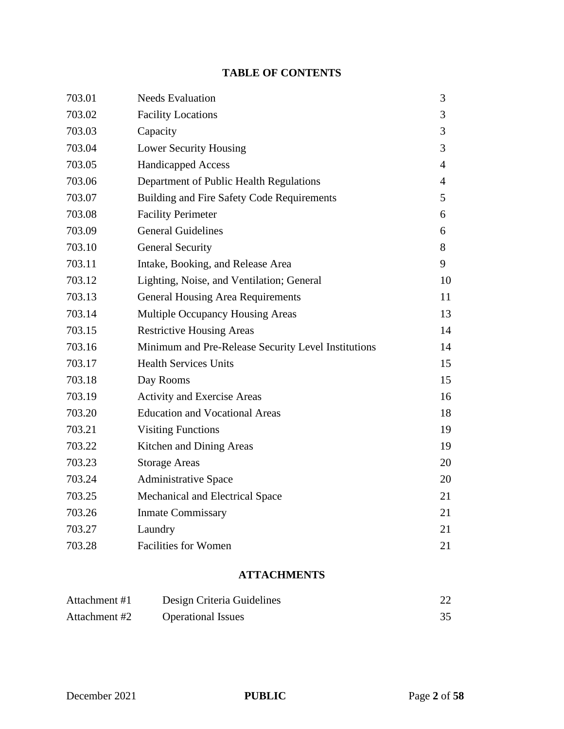# **TABLE OF CONTENTS**

| 703.01 | <b>Needs Evaluation</b>                             | 3              |
|--------|-----------------------------------------------------|----------------|
| 703.02 | <b>Facility Locations</b>                           | 3              |
| 703.03 | Capacity                                            | 3              |
| 703.04 | <b>Lower Security Housing</b>                       | 3              |
| 703.05 | <b>Handicapped Access</b>                           | $\overline{4}$ |
| 703.06 | Department of Public Health Regulations             | $\overline{4}$ |
| 703.07 | Building and Fire Safety Code Requirements          | 5              |
| 703.08 | <b>Facility Perimeter</b>                           | 6              |
| 703.09 | <b>General Guidelines</b>                           | 6              |
| 703.10 | <b>General Security</b>                             | 8              |
| 703.11 | Intake, Booking, and Release Area                   | 9              |
| 703.12 | Lighting, Noise, and Ventilation; General           | 10             |
| 703.13 | <b>General Housing Area Requirements</b>            | 11             |
| 703.14 | Multiple Occupancy Housing Areas                    | 13             |
| 703.15 | <b>Restrictive Housing Areas</b>                    | 14             |
| 703.16 | Minimum and Pre-Release Security Level Institutions | 14             |
| 703.17 | <b>Health Services Units</b>                        | 15             |
| 703.18 | Day Rooms                                           | 15             |
| 703.19 | Activity and Exercise Areas                         | 16             |
| 703.20 | <b>Education and Vocational Areas</b>               | 18             |
| 703.21 | <b>Visiting Functions</b>                           | 19             |
| 703.22 | Kitchen and Dining Areas                            | 19             |
| 703.23 | <b>Storage Areas</b>                                | 20             |
| 703.24 | <b>Administrative Space</b>                         | 20             |
| 703.25 | Mechanical and Electrical Space                     | 21             |
| 703.26 | <b>Inmate Commissary</b>                            | 21             |
| 703.27 | Laundry                                             | 21             |
| 703.28 | <b>Facilities for Women</b>                         | 21             |
|        |                                                     |                |

# **ATTACHMENTS**

| Attachment #1 | Design Criteria Guidelines |  |
|---------------|----------------------------|--|
| Attachment #2 | <b>Operational Issues</b>  |  |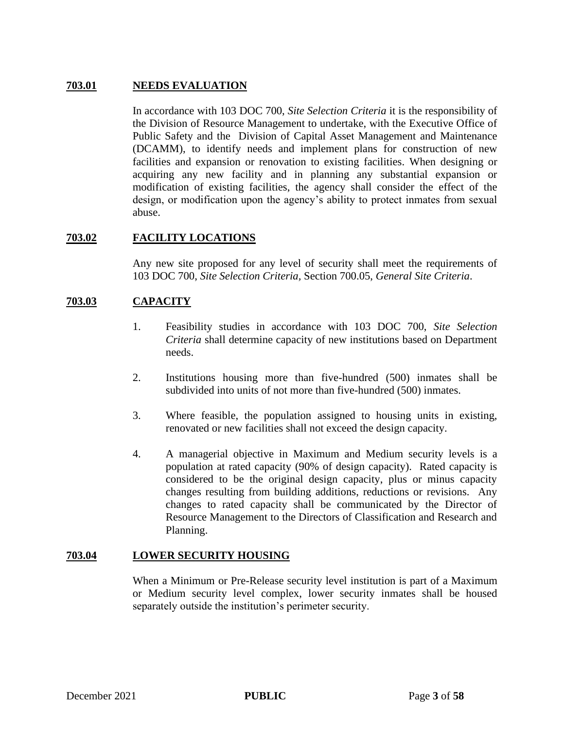## **703.01 NEEDS EVALUATION**

In accordance with 103 DOC 700, *Site Selection Criteria* it is the responsibility of the Division of Resource Management to undertake, with the Executive Office of Public Safety and the Division of Capital Asset Management and Maintenance (DCAMM), to identify needs and implement plans for construction of new facilities and expansion or renovation to existing facilities. When designing or acquiring any new facility and in planning any substantial expansion or modification of existing facilities, the agency shall consider the effect of the design, or modification upon the agency's ability to protect inmates from sexual abuse.

# **703.02 FACILITY LOCATIONS**

Any new site proposed for any level of security shall meet the requirements of 103 DOC 700, *Site Selection Criteria,* Section 700.05, *General Site Criteria*.

## **703.03 CAPACITY**

- 1. Feasibility studies in accordance with 103 DOC 700, *Site Selection Criteria* shall determine capacity of new institutions based on Department needs.
- 2. Institutions housing more than five-hundred (500) inmates shall be subdivided into units of not more than five-hundred (500) inmates.
- 3. Where feasible, the population assigned to housing units in existing, renovated or new facilities shall not exceed the design capacity.
- 4. A managerial objective in Maximum and Medium security levels is a population at rated capacity (90% of design capacity). Rated capacity is considered to be the original design capacity, plus or minus capacity changes resulting from building additions, reductions or revisions. Any changes to rated capacity shall be communicated by the Director of Resource Management to the Directors of Classification and Research and Planning.

## **703.04 LOWER SECURITY HOUSING**

When a Minimum or Pre-Release security level institution is part of a Maximum or Medium security level complex, lower security inmates shall be housed separately outside the institution's perimeter security.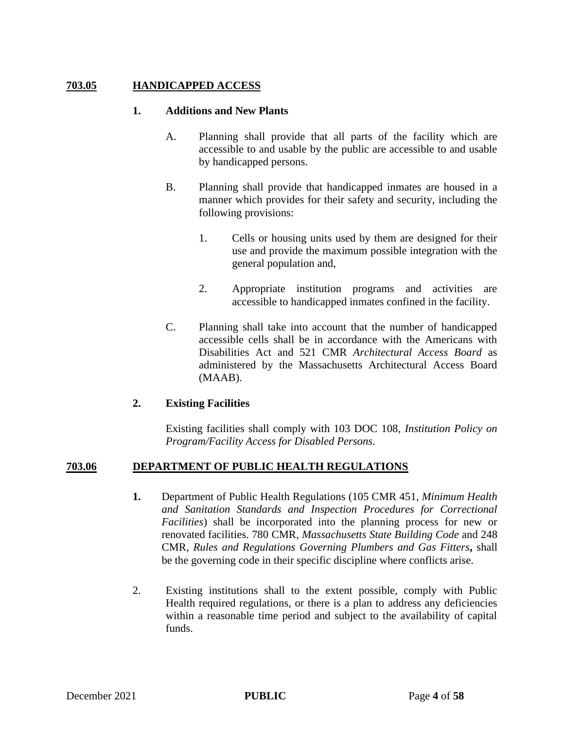## **703.05 HANDICAPPED ACCESS**

#### **1. Additions and New Plants**

- A. Planning shall provide that all parts of the facility which are accessible to and usable by the public are accessible to and usable by handicapped persons.
- B. Planning shall provide that handicapped inmates are housed in a manner which provides for their safety and security, including the following provisions:
	- 1. Cells or housing units used by them are designed for their use and provide the maximum possible integration with the general population and,
	- 2. Appropriate institution programs and activities are accessible to handicapped inmates confined in the facility.
- C. Planning shall take into account that the number of handicapped accessible cells shall be in accordance with the Americans with Disabilities Act and 521 CMR *Architectural Access Board* as administered by the Massachusetts Architectural Access Board (MAAB).

## **2. Existing Facilities**

Existing facilities shall comply with 103 DOC 108*, Institution Policy on Program/Facility Access for Disabled Persons*.

## **703.06 DEPARTMENT OF PUBLIC HEALTH REGULATIONS**

- **1.** Department of Public Health Regulations (105 CMR 451, *Minimum Health and Sanitation Standards and Inspection Procedures for Correctional Facilities*) shall be incorporated into the planning process for new or renovated facilities. 780 CMR, *Massachusetts State Building Code* and 248 CMR, *Rules and Regulations Governing Plumbers and Gas Fitters***,** shall be the governing code in their specific discipline where conflicts arise.
- 2. Existing institutions shall to the extent possible, comply with Public Health required regulations, or there is a plan to address any deficiencies within a reasonable time period and subject to the availability of capital funds.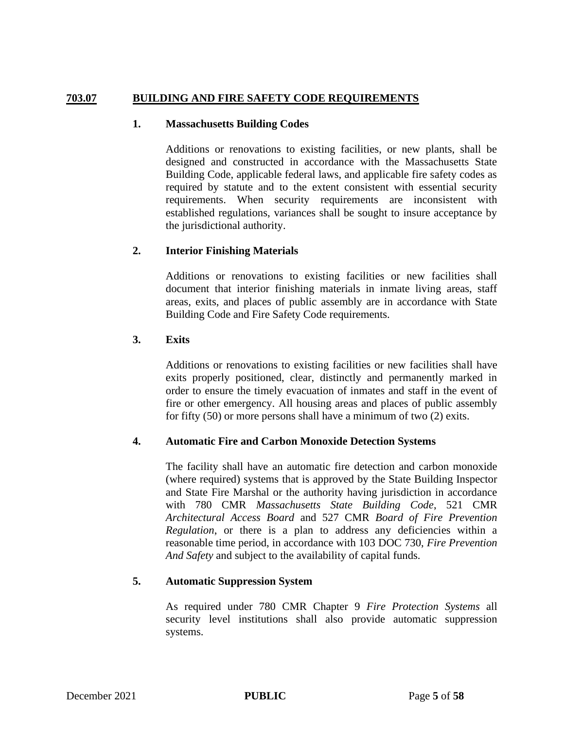## **703.07 BUILDING AND FIRE SAFETY CODE REQUIREMENTS**

#### **1. Massachusetts Building Codes**

Additions or renovations to existing facilities, or new plants, shall be designed and constructed in accordance with the Massachusetts State Building Code, applicable federal laws, and applicable fire safety codes as required by statute and to the extent consistent with essential security requirements. When security requirements are inconsistent with established regulations, variances shall be sought to insure acceptance by the jurisdictional authority.

## **2. Interior Finishing Materials**

Additions or renovations to existing facilities or new facilities shall document that interior finishing materials in inmate living areas, staff areas, exits, and places of public assembly are in accordance with State Building Code and Fire Safety Code requirements.

## **3. Exits**

Additions or renovations to existing facilities or new facilities shall have exits properly positioned, clear, distinctly and permanently marked in order to ensure the timely evacuation of inmates and staff in the event of fire or other emergency. All housing areas and places of public assembly for fifty (50) or more persons shall have a minimum of two (2) exits.

## **4. Automatic Fire and Carbon Monoxide Detection Systems**

The facility shall have an automatic fire detection and carbon monoxide (where required) systems that is approved by the State Building Inspector and State Fire Marshal or the authority having jurisdiction in accordance with 780 CMR *Massachusetts State Building Code*, 521 CMR *Architectural Access Board* and 527 CMR *Board of Fire Prevention Regulation*, or there is a plan to address any deficiencies within a reasonable time period, in accordance with 103 DOC 730, *Fire Prevention And Safety* and subject to the availability of capital funds.

## **5. Automatic Suppression System**

As required under 780 CMR Chapter 9 *Fire Protection Systems* all security level institutions shall also provide automatic suppression systems.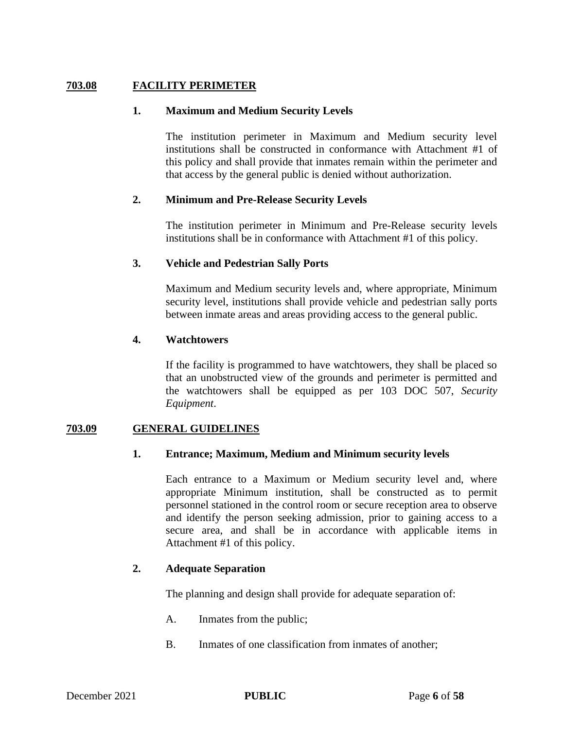## **703.08 FACILITY PERIMETER**

#### **1. Maximum and Medium Security Levels**

The institution perimeter in Maximum and Medium security level institutions shall be constructed in conformance with Attachment #1 of this policy and shall provide that inmates remain within the perimeter and that access by the general public is denied without authorization.

## **2. Minimum and Pre-Release Security Levels**

The institution perimeter in Minimum and Pre-Release security levels institutions shall be in conformance with Attachment #1 of this policy.

## **3. Vehicle and Pedestrian Sally Ports**

Maximum and Medium security levels and, where appropriate, Minimum security level, institutions shall provide vehicle and pedestrian sally ports between inmate areas and areas providing access to the general public.

## **4. Watchtowers**

If the facility is programmed to have watchtowers, they shall be placed so that an unobstructed view of the grounds and perimeter is permitted and the watchtowers shall be equipped as per 103 DOC 507, *Security Equipment*.

#### **703.09 GENERAL GUIDELINES**

## **1. Entrance; Maximum, Medium and Minimum security levels**

Each entrance to a Maximum or Medium security level and, where appropriate Minimum institution, shall be constructed as to permit personnel stationed in the control room or secure reception area to observe and identify the person seeking admission, prior to gaining access to a secure area, and shall be in accordance with applicable items in Attachment #1 of this policy.

#### **2. Adequate Separation**

The planning and design shall provide for adequate separation of:

- A. Inmates from the public;
- B. Inmates of one classification from inmates of another;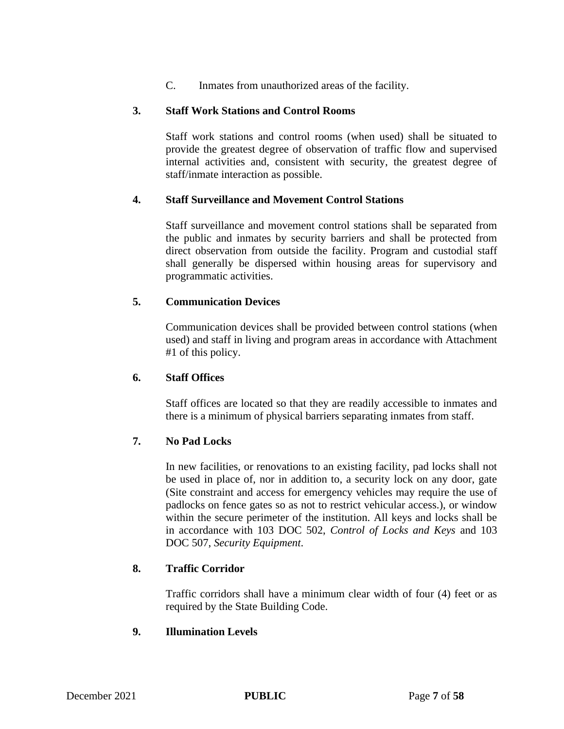C. Inmates from unauthorized areas of the facility.

## **3. Staff Work Stations and Control Rooms**

Staff work stations and control rooms (when used) shall be situated to provide the greatest degree of observation of traffic flow and supervised internal activities and, consistent with security, the greatest degree of staff/inmate interaction as possible.

## **4. Staff Surveillance and Movement Control Stations**

Staff surveillance and movement control stations shall be separated from the public and inmates by security barriers and shall be protected from direct observation from outside the facility. Program and custodial staff shall generally be dispersed within housing areas for supervisory and programmatic activities.

## **5. Communication Devices**

Communication devices shall be provided between control stations (when used) and staff in living and program areas in accordance with Attachment #1 of this policy.

## **6. Staff Offices**

Staff offices are located so that they are readily accessible to inmates and there is a minimum of physical barriers separating inmates from staff.

## **7. No Pad Locks**

In new facilities, or renovations to an existing facility, pad locks shall not be used in place of, nor in addition to, a security lock on any door, gate (Site constraint and access for emergency vehicles may require the use of padlocks on fence gates so as not to restrict vehicular access.), or window within the secure perimeter of the institution. All keys and locks shall be in accordance with 103 DOC 502, *Control of Locks and Keys* and 103 DOC 507, *Security Equipment*.

## **8. Traffic Corridor**

Traffic corridors shall have a minimum clear width of four (4) feet or as required by the State Building Code.

## **9. Illumination Levels**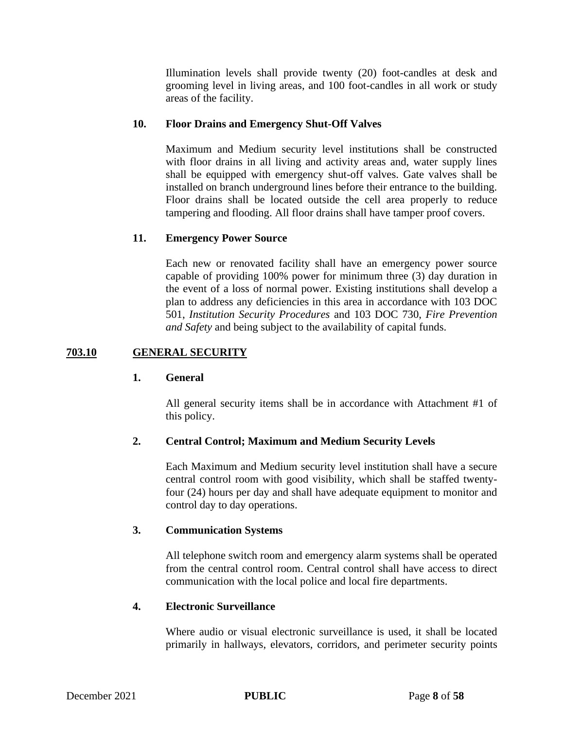Illumination levels shall provide twenty (20) foot-candles at desk and grooming level in living areas, and 100 foot-candles in all work or study areas of the facility.

## **10. Floor Drains and Emergency Shut-Off Valves**

Maximum and Medium security level institutions shall be constructed with floor drains in all living and activity areas and, water supply lines shall be equipped with emergency shut-off valves. Gate valves shall be installed on branch underground lines before their entrance to the building. Floor drains shall be located outside the cell area properly to reduce tampering and flooding. All floor drains shall have tamper proof covers.

## **11. Emergency Power Source**

Each new or renovated facility shall have an emergency power source capable of providing 100% power for minimum three (3) day duration in the event of a loss of normal power. Existing institutions shall develop a plan to address any deficiencies in this area in accordance with 103 DOC 501, *Institution Security Procedures* and 103 DOC 730, *Fire Prevention and Safety* and being subject to the availability of capital funds.

## **703.10 GENERAL SECURITY**

## **1. General**

All general security items shall be in accordance with Attachment #1 of this policy.

## **2. Central Control; Maximum and Medium Security Levels**

Each Maximum and Medium security level institution shall have a secure central control room with good visibility, which shall be staffed twentyfour (24) hours per day and shall have adequate equipment to monitor and control day to day operations.

## **3. Communication Systems**

All telephone switch room and emergency alarm systems shall be operated from the central control room. Central control shall have access to direct communication with the local police and local fire departments.

## **4. Electronic Surveillance**

Where audio or visual electronic surveillance is used, it shall be located primarily in hallways, elevators, corridors, and perimeter security points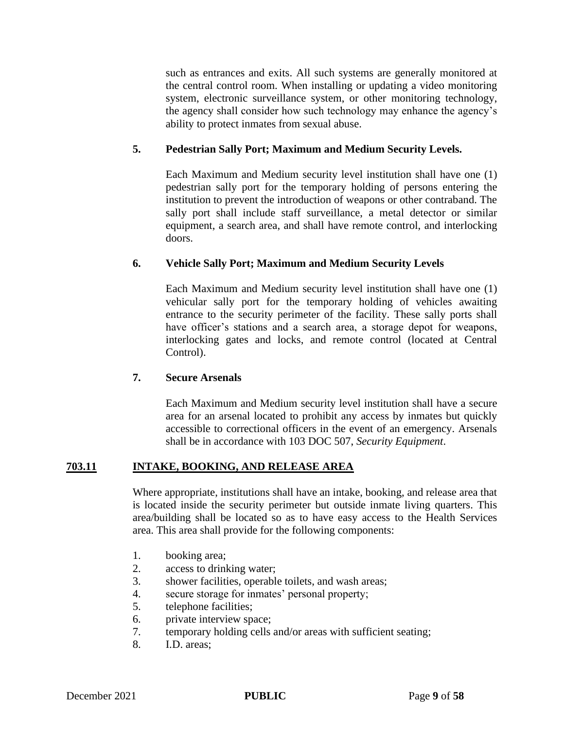such as entrances and exits. All such systems are generally monitored at the central control room. When installing or updating a video monitoring system, electronic surveillance system, or other monitoring technology, the agency shall consider how such technology may enhance the agency's ability to protect inmates from sexual abuse.

## **5. Pedestrian Sally Port; Maximum and Medium Security Levels.**

Each Maximum and Medium security level institution shall have one (1) pedestrian sally port for the temporary holding of persons entering the institution to prevent the introduction of weapons or other contraband. The sally port shall include staff surveillance, a metal detector or similar equipment, a search area, and shall have remote control, and interlocking doors.

## **6. Vehicle Sally Port; Maximum and Medium Security Levels**

Each Maximum and Medium security level institution shall have one (1) vehicular sally port for the temporary holding of vehicles awaiting entrance to the security perimeter of the facility. These sally ports shall have officer's stations and a search area, a storage depot for weapons, interlocking gates and locks, and remote control (located at Central Control).

## **7. Secure Arsenals**

Each Maximum and Medium security level institution shall have a secure area for an arsenal located to prohibit any access by inmates but quickly accessible to correctional officers in the event of an emergency. Arsenals shall be in accordance with 103 DOC 507, *Security Equipment*.

## **703.11 INTAKE, BOOKING, AND RELEASE AREA**

Where appropriate, institutions shall have an intake, booking, and release area that is located inside the security perimeter but outside inmate living quarters. This area/building shall be located so as to have easy access to the Health Services area. This area shall provide for the following components:

- 1. booking area;
- 2. access to drinking water;
- 3. shower facilities, operable toilets, and wash areas;
- 4. secure storage for inmates' personal property;
- 5. telephone facilities;
- 6. private interview space;
- 7. temporary holding cells and/or areas with sufficient seating;
- 8. I.D. areas;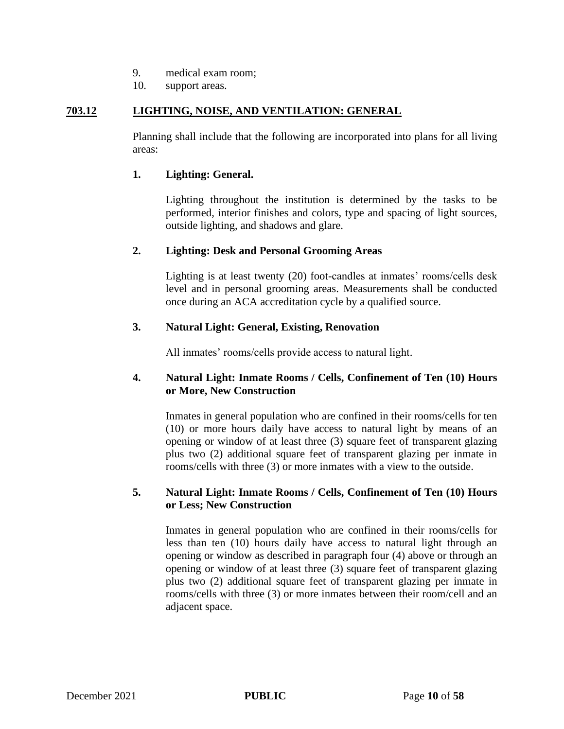- 9. medical exam room;
- 10. support areas.

#### **703.12 LIGHTING, NOISE, AND VENTILATION: GENERAL**

Planning shall include that the following are incorporated into plans for all living areas:

#### **1. Lighting: General.**

Lighting throughout the institution is determined by the tasks to be performed, interior finishes and colors, type and spacing of light sources, outside lighting, and shadows and glare.

#### **2. Lighting: Desk and Personal Grooming Areas**

Lighting is at least twenty (20) foot-candles at inmates' rooms/cells desk level and in personal grooming areas. Measurements shall be conducted once during an ACA accreditation cycle by a qualified source.

#### **3. Natural Light: General, Existing, Renovation**

All inmates' rooms/cells provide access to natural light.

## **4. Natural Light: Inmate Rooms / Cells, Confinement of Ten (10) Hours or More, New Construction**

Inmates in general population who are confined in their rooms/cells for ten (10) or more hours daily have access to natural light by means of an opening or window of at least three (3) square feet of transparent glazing plus two (2) additional square feet of transparent glazing per inmate in rooms/cells with three (3) or more inmates with a view to the outside.

## **5. Natural Light: Inmate Rooms / Cells, Confinement of Ten (10) Hours or Less; New Construction**

Inmates in general population who are confined in their rooms/cells for less than ten (10) hours daily have access to natural light through an opening or window as described in paragraph four (4) above or through an opening or window of at least three (3) square feet of transparent glazing plus two (2) additional square feet of transparent glazing per inmate in rooms/cells with three (3) or more inmates between their room/cell and an adjacent space.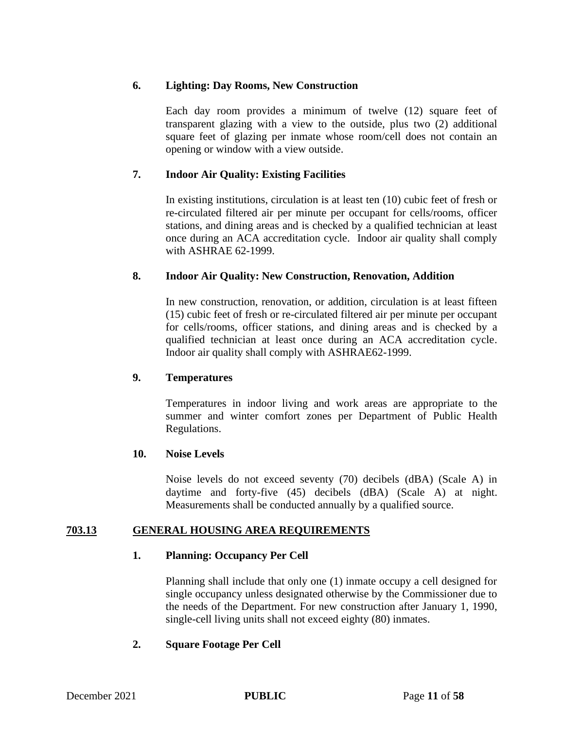## **6. Lighting: Day Rooms, New Construction**

Each day room provides a minimum of twelve (12) square feet of transparent glazing with a view to the outside, plus two (2) additional square feet of glazing per inmate whose room/cell does not contain an opening or window with a view outside.

# **7. Indoor Air Quality: Existing Facilities**

In existing institutions, circulation is at least ten (10) cubic feet of fresh or re-circulated filtered air per minute per occupant for cells/rooms, officer stations, and dining areas and is checked by a qualified technician at least once during an ACA accreditation cycle. Indoor air quality shall comply with ASHRAE 62-1999.

## **8. Indoor Air Quality: New Construction, Renovation, Addition**

In new construction, renovation, or addition, circulation is at least fifteen (15) cubic feet of fresh or re-circulated filtered air per minute per occupant for cells/rooms, officer stations, and dining areas and is checked by a qualified technician at least once during an ACA accreditation cycle. Indoor air quality shall comply with ASHRAE62-1999.

# **9. Temperatures**

Temperatures in indoor living and work areas are appropriate to the summer and winter comfort zones per Department of Public Health Regulations.

## **10. Noise Levels**

Noise levels do not exceed seventy (70) decibels (dBA) (Scale A) in daytime and forty-five (45) decibels (dBA) (Scale A) at night. Measurements shall be conducted annually by a qualified source.

# **703.13 GENERAL HOUSING AREA REQUIREMENTS**

# **1. Planning: Occupancy Per Cell**

Planning shall include that only one (1) inmate occupy a cell designed for single occupancy unless designated otherwise by the Commissioner due to the needs of the Department. For new construction after January 1, 1990, single-cell living units shall not exceed eighty (80) inmates.

## **2. Square Footage Per Cell**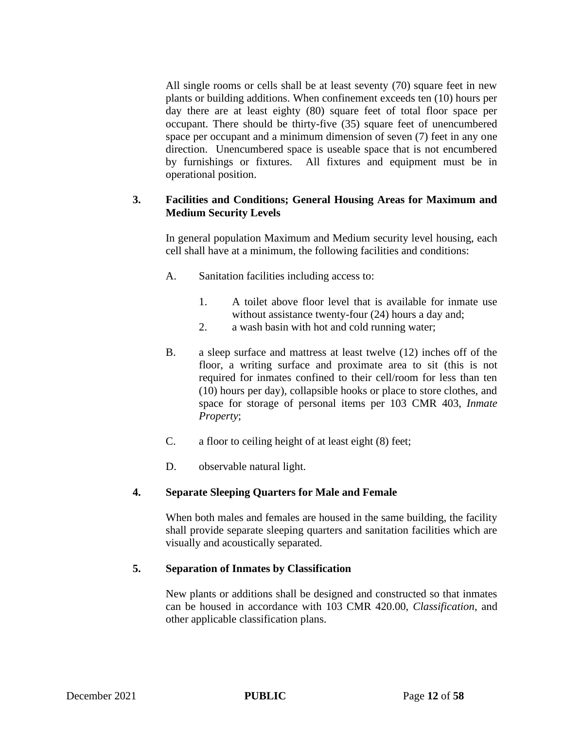All single rooms or cells shall be at least seventy (70) square feet in new plants or building additions. When confinement exceeds ten (10) hours per day there are at least eighty (80) square feet of total floor space per occupant. There should be thirty-five (35) square feet of unencumbered space per occupant and a minimum dimension of seven (7) feet in any one direction. Unencumbered space is useable space that is not encumbered by furnishings or fixtures. All fixtures and equipment must be in operational position.

# **3. Facilities and Conditions; General Housing Areas for Maximum and Medium Security Levels**

In general population Maximum and Medium security level housing, each cell shall have at a minimum, the following facilities and conditions:

- A. Sanitation facilities including access to:
	- 1. A toilet above floor level that is available for inmate use without assistance twenty-four (24) hours a day and;
	- 2. a wash basin with hot and cold running water;
- B. a sleep surface and mattress at least twelve (12) inches off of the floor, a writing surface and proximate area to sit (this is not required for inmates confined to their cell/room for less than ten (10) hours per day), collapsible hooks or place to store clothes, and space for storage of personal items per 103 CMR 403, *Inmate Property*;
- C. a floor to ceiling height of at least eight (8) feet;
- D. observable natural light.

# **4. Separate Sleeping Quarters for Male and Female**

When both males and females are housed in the same building, the facility shall provide separate sleeping quarters and sanitation facilities which are visually and acoustically separated.

## **5. Separation of Inmates by Classification**

New plants or additions shall be designed and constructed so that inmates can be housed in accordance with 103 CMR 420.00, *Classification*, and other applicable classification plans.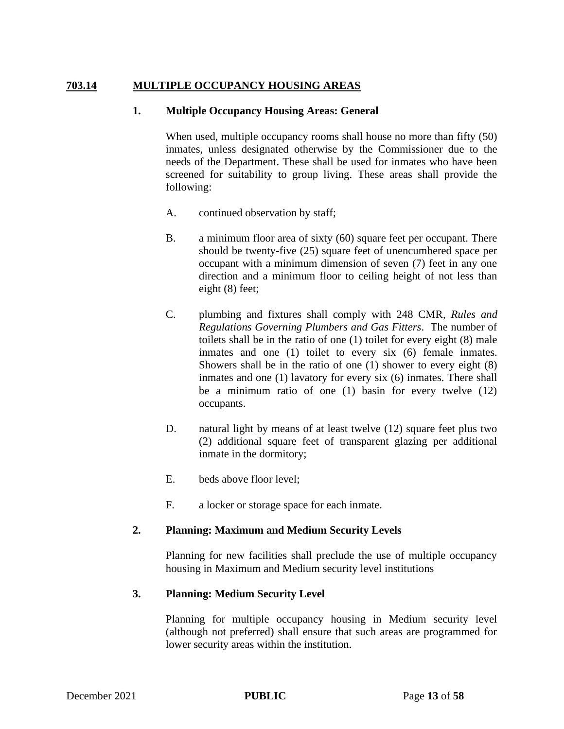# **703.14 MULTIPLE OCCUPANCY HOUSING AREAS**

## **1. Multiple Occupancy Housing Areas: General**

When used, multiple occupancy rooms shall house no more than fifty (50) inmates, unless designated otherwise by the Commissioner due to the needs of the Department. These shall be used for inmates who have been screened for suitability to group living. These areas shall provide the following:

- A. continued observation by staff;
- B. a minimum floor area of sixty (60) square feet per occupant. There should be twenty-five (25) square feet of unencumbered space per occupant with a minimum dimension of seven (7) feet in any one direction and a minimum floor to ceiling height of not less than eight (8) feet;
- C. plumbing and fixtures shall comply with 248 CMR, *Rules and Regulations Governing Plumbers and Gas Fitters*. The number of toilets shall be in the ratio of one (1) toilet for every eight (8) male inmates and one (1) toilet to every six (6) female inmates. Showers shall be in the ratio of one (1) shower to every eight (8) inmates and one (1) lavatory for every six (6) inmates. There shall be a minimum ratio of one (1) basin for every twelve (12) occupants.
- D. natural light by means of at least twelve (12) square feet plus two (2) additional square feet of transparent glazing per additional inmate in the dormitory;
- E. beds above floor level;
- F. a locker or storage space for each inmate.

# **2. Planning: Maximum and Medium Security Levels**

Planning for new facilities shall preclude the use of multiple occupancy housing in Maximum and Medium security level institutions

## **3. Planning: Medium Security Level**

Planning for multiple occupancy housing in Medium security level (although not preferred) shall ensure that such areas are programmed for lower security areas within the institution.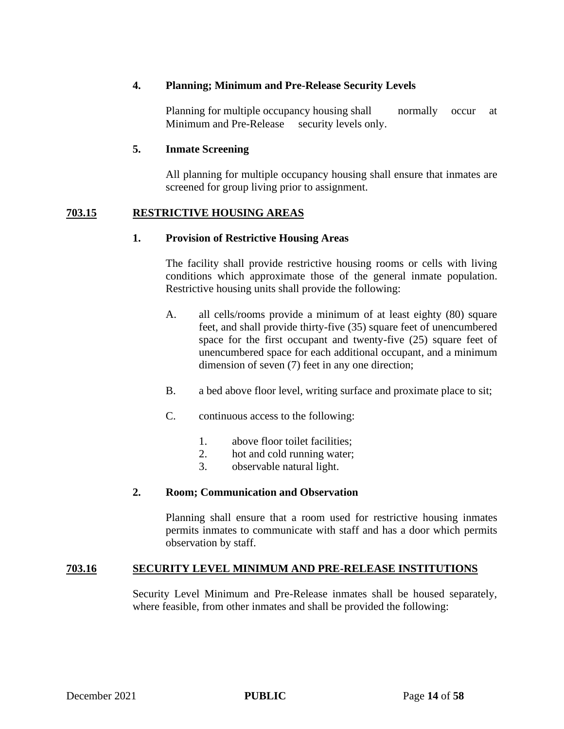## **4. Planning; Minimum and Pre-Release Security Levels**

Planning for multiple occupancy housing shall normally occur at Minimum and Pre-Release security levels only.

## **5. Inmate Screening**

All planning for multiple occupancy housing shall ensure that inmates are screened for group living prior to assignment.

## **703.15 RESTRICTIVE HOUSING AREAS**

## **1. Provision of Restrictive Housing Areas**

The facility shall provide restrictive housing rooms or cells with living conditions which approximate those of the general inmate population. Restrictive housing units shall provide the following:

- A. all cells/rooms provide a minimum of at least eighty (80) square feet, and shall provide thirty-five (35) square feet of unencumbered space for the first occupant and twenty-five (25) square feet of unencumbered space for each additional occupant, and a minimum dimension of seven (7) feet in any one direction;
- B. a bed above floor level, writing surface and proximate place to sit;
- C. continuous access to the following:
	- 1. above floor toilet facilities;
	- 2. hot and cold running water;
	- 3. observable natural light.

## **2. Room; Communication and Observation**

Planning shall ensure that a room used for restrictive housing inmates permits inmates to communicate with staff and has a door which permits observation by staff.

# **703.16 SECURITY LEVEL MINIMUM AND PRE-RELEASE INSTITUTIONS**

Security Level Minimum and Pre-Release inmates shall be housed separately, where feasible, from other inmates and shall be provided the following: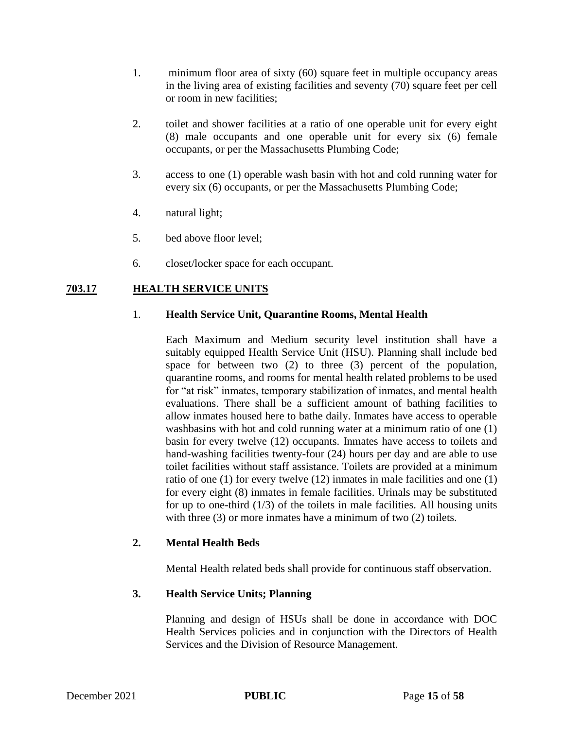- 1. minimum floor area of sixty (60) square feet in multiple occupancy areas in the living area of existing facilities and seventy (70) square feet per cell or room in new facilities;
- 2. toilet and shower facilities at a ratio of one operable unit for every eight (8) male occupants and one operable unit for every six (6) female occupants, or per the Massachusetts Plumbing Code;
- 3. access to one (1) operable wash basin with hot and cold running water for every six (6) occupants, or per the Massachusetts Plumbing Code;
- 4. natural light;
- 5. bed above floor level;
- 6. closet/locker space for each occupant.

## **703.17 HEALTH SERVICE UNITS**

## 1. **Health Service Unit, Quarantine Rooms, Mental Health**

Each Maximum and Medium security level institution shall have a suitably equipped Health Service Unit (HSU). Planning shall include bed space for between two (2) to three (3) percent of the population, quarantine rooms, and rooms for mental health related problems to be used for "at risk" inmates, temporary stabilization of inmates, and mental health evaluations. There shall be a sufficient amount of bathing facilities to allow inmates housed here to bathe daily. Inmates have access to operable washbasins with hot and cold running water at a minimum ratio of one (1) basin for every twelve (12) occupants. Inmates have access to toilets and hand-washing facilities twenty-four (24) hours per day and are able to use toilet facilities without staff assistance. Toilets are provided at a minimum ratio of one (1) for every twelve (12) inmates in male facilities and one (1) for every eight (8) inmates in female facilities. Urinals may be substituted for up to one-third  $(1/3)$  of the toilets in male facilities. All housing units with three (3) or more inmates have a minimum of two (2) toilets.

## **2. Mental Health Beds**

Mental Health related beds shall provide for continuous staff observation.

# **3. Health Service Units; Planning**

Planning and design of HSUs shall be done in accordance with DOC Health Services policies and in conjunction with the Directors of Health Services and the Division of Resource Management.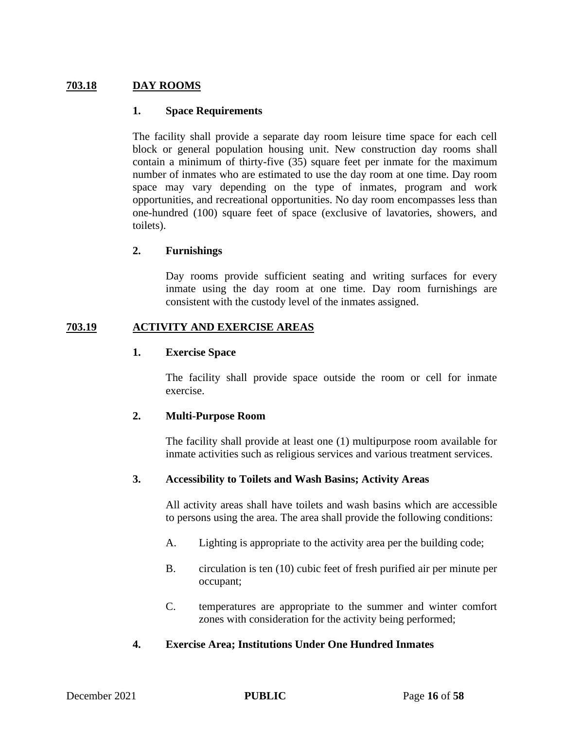## **703.18 DAY ROOMS**

#### **1. Space Requirements**

The facility shall provide a separate day room leisure time space for each cell block or general population housing unit. New construction day rooms shall contain a minimum of thirty-five (35) square feet per inmate for the maximum number of inmates who are estimated to use the day room at one time. Day room space may vary depending on the type of inmates, program and work opportunities, and recreational opportunities. No day room encompasses less than one-hundred (100) square feet of space (exclusive of lavatories, showers, and toilets).

## **2. Furnishings**

Day rooms provide sufficient seating and writing surfaces for every inmate using the day room at one time. Day room furnishings are consistent with the custody level of the inmates assigned.

## **703.19 ACTIVITY AND EXERCISE AREAS**

#### **1. Exercise Space**

The facility shall provide space outside the room or cell for inmate exercise.

## **2. Multi-Purpose Room**

The facility shall provide at least one (1) multipurpose room available for inmate activities such as religious services and various treatment services.

## **3. Accessibility to Toilets and Wash Basins; Activity Areas**

All activity areas shall have toilets and wash basins which are accessible to persons using the area. The area shall provide the following conditions:

- A. Lighting is appropriate to the activity area per the building code;
- B. circulation is ten (10) cubic feet of fresh purified air per minute per occupant;
- C. temperatures are appropriate to the summer and winter comfort zones with consideration for the activity being performed;

## **4. Exercise Area; Institutions Under One Hundred Inmates**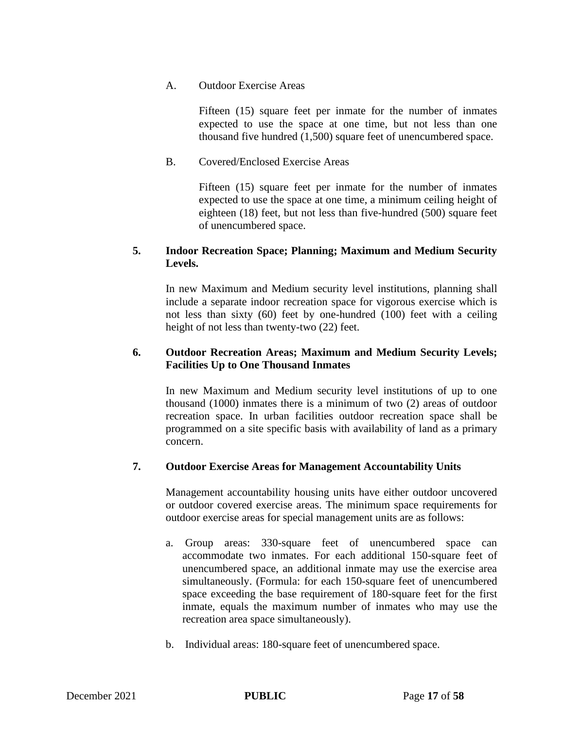## A. Outdoor Exercise Areas

Fifteen (15) square feet per inmate for the number of inmates expected to use the space at one time, but not less than one thousand five hundred (1,500) square feet of unencumbered space.

# B. Covered/Enclosed Exercise Areas

Fifteen (15) square feet per inmate for the number of inmates expected to use the space at one time, a minimum ceiling height of eighteen (18) feet, but not less than five-hundred (500) square feet of unencumbered space.

## **5. Indoor Recreation Space; Planning; Maximum and Medium Security Levels.**

In new Maximum and Medium security level institutions, planning shall include a separate indoor recreation space for vigorous exercise which is not less than sixty (60) feet by one-hundred (100) feet with a ceiling height of not less than twenty-two (22) feet.

# **6. Outdoor Recreation Areas; Maximum and Medium Security Levels; Facilities Up to One Thousand Inmates**

In new Maximum and Medium security level institutions of up to one thousand (1000) inmates there is a minimum of two (2) areas of outdoor recreation space. In urban facilities outdoor recreation space shall be programmed on a site specific basis with availability of land as a primary concern.

# **7. Outdoor Exercise Areas for Management Accountability Units**

Management accountability housing units have either outdoor uncovered or outdoor covered exercise areas. The minimum space requirements for outdoor exercise areas for special management units are as follows:

- a. Group areas: 330-square feet of unencumbered space can accommodate two inmates. For each additional 150-square feet of unencumbered space, an additional inmate may use the exercise area simultaneously. (Formula: for each 150-square feet of unencumbered space exceeding the base requirement of 180-square feet for the first inmate, equals the maximum number of inmates who may use the recreation area space simultaneously).
- b. Individual areas: 180-square feet of unencumbered space.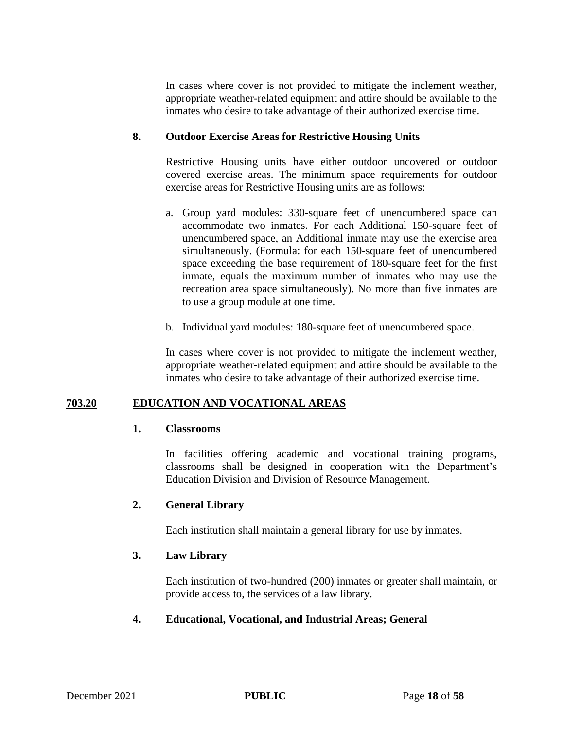In cases where cover is not provided to mitigate the inclement weather, appropriate weather-related equipment and attire should be available to the inmates who desire to take advantage of their authorized exercise time.

## **8. Outdoor Exercise Areas for Restrictive Housing Units**

Restrictive Housing units have either outdoor uncovered or outdoor covered exercise areas. The minimum space requirements for outdoor exercise areas for Restrictive Housing units are as follows:

- a. Group yard modules: 330-square feet of unencumbered space can accommodate two inmates. For each Additional 150-square feet of unencumbered space, an Additional inmate may use the exercise area simultaneously. (Formula: for each 150-square feet of unencumbered space exceeding the base requirement of 180-square feet for the first inmate, equals the maximum number of inmates who may use the recreation area space simultaneously). No more than five inmates are to use a group module at one time.
- b. Individual yard modules: 180-square feet of unencumbered space.

In cases where cover is not provided to mitigate the inclement weather, appropriate weather-related equipment and attire should be available to the inmates who desire to take advantage of their authorized exercise time.

# **703.20 EDUCATION AND VOCATIONAL AREAS**

# **1. Classrooms**

In facilities offering academic and vocational training programs, classrooms shall be designed in cooperation with the Department's Education Division and Division of Resource Management.

# **2. General Library**

Each institution shall maintain a general library for use by inmates.

# **3. Law Library**

Each institution of two-hundred (200) inmates or greater shall maintain, or provide access to, the services of a law library.

# **4. Educational, Vocational, and Industrial Areas; General**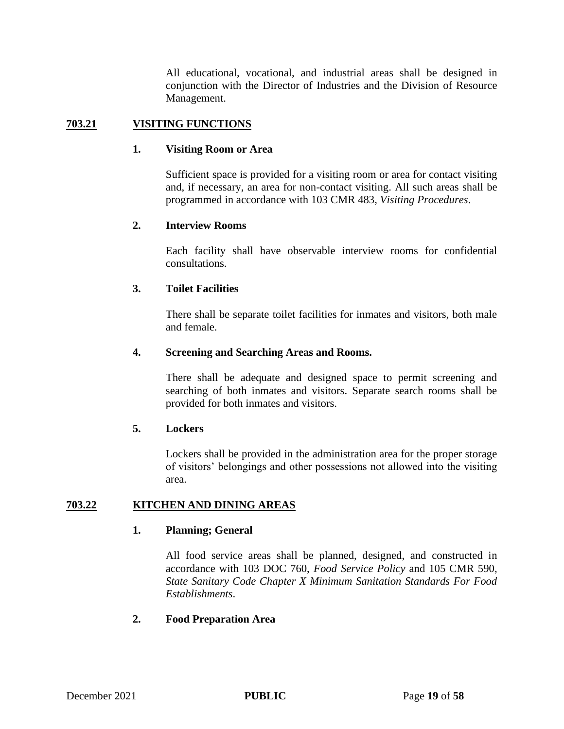All educational, vocational, and industrial areas shall be designed in conjunction with the Director of Industries and the Division of Resource Management.

## **703.21 VISITING FUNCTIONS**

#### **1. Visiting Room or Area**

Sufficient space is provided for a visiting room or area for contact visiting and, if necessary, an area for non-contact visiting. All such areas shall be programmed in accordance with 103 CMR 483, *Visiting Procedures*.

## **2. Interview Rooms**

Each facility shall have observable interview rooms for confidential consultations.

## **3. Toilet Facilities**

There shall be separate toilet facilities for inmates and visitors, both male and female.

#### **4. Screening and Searching Areas and Rooms.**

There shall be adequate and designed space to permit screening and searching of both inmates and visitors. Separate search rooms shall be provided for both inmates and visitors.

#### **5. Lockers**

Lockers shall be provided in the administration area for the proper storage of visitors' belongings and other possessions not allowed into the visiting area.

## **703.22 KITCHEN AND DINING AREAS**

## **1. Planning; General**

All food service areas shall be planned, designed, and constructed in accordance with 103 DOC 760, *Food Service Policy* and 105 CMR 590, *State Sanitary Code Chapter X Minimum Sanitation Standards For Food Establishments*.

## **2. Food Preparation Area**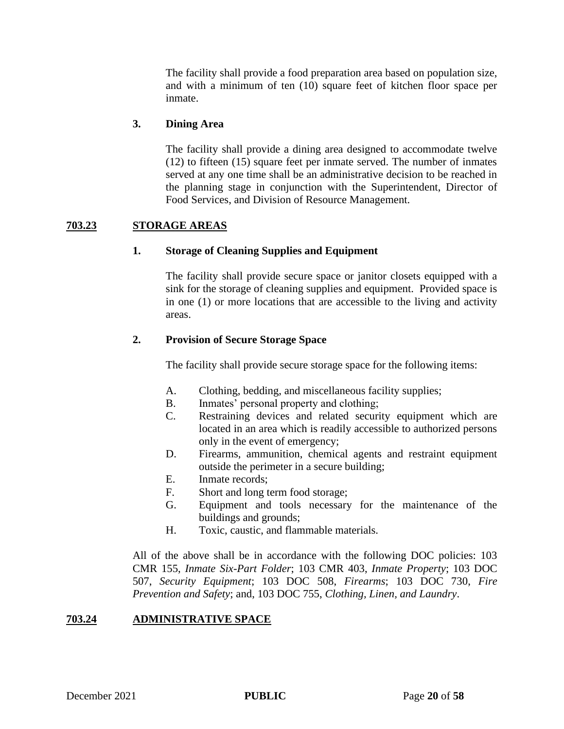The facility shall provide a food preparation area based on population size, and with a minimum of ten (10) square feet of kitchen floor space per inmate.

## **3. Dining Area**

The facility shall provide a dining area designed to accommodate twelve (12) to fifteen (15) square feet per inmate served. The number of inmates served at any one time shall be an administrative decision to be reached in the planning stage in conjunction with the Superintendent, Director of Food Services, and Division of Resource Management.

## **703.23 STORAGE AREAS**

## **1. Storage of Cleaning Supplies and Equipment**

The facility shall provide secure space or janitor closets equipped with a sink for the storage of cleaning supplies and equipment. Provided space is in one (1) or more locations that are accessible to the living and activity areas.

## **2. Provision of Secure Storage Space**

The facility shall provide secure storage space for the following items:

- A. Clothing, bedding, and miscellaneous facility supplies;
- B. Inmates' personal property and clothing;
- C. Restraining devices and related security equipment which are located in an area which is readily accessible to authorized persons only in the event of emergency;
- D. Firearms, ammunition, chemical agents and restraint equipment outside the perimeter in a secure building;
- E. Inmate records;
- F. Short and long term food storage;
- G. Equipment and tools necessary for the maintenance of the buildings and grounds;
- H. Toxic, caustic, and flammable materials.

All of the above shall be in accordance with the following DOC policies: 103 CMR 155, *Inmate Six-Part Folder*; 103 CMR 403, *Inmate Property*; 103 DOC 507, *Security Equipment*; 103 DOC 508, *Firearms*; 103 DOC 730, *Fire Prevention and Safety*; and, 103 DOC 755, *Clothing, Linen, and Laundry*.

# **703.24 ADMINISTRATIVE SPACE**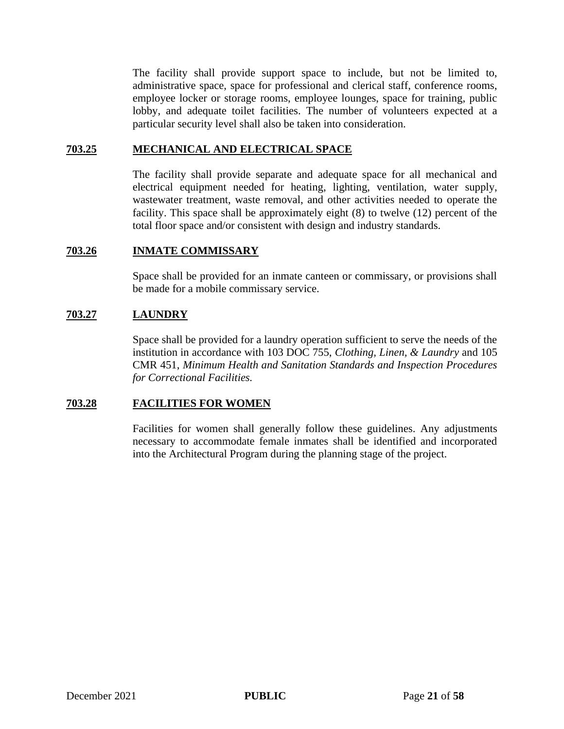The facility shall provide support space to include, but not be limited to, administrative space, space for professional and clerical staff, conference rooms, employee locker or storage rooms, employee lounges, space for training, public lobby, and adequate toilet facilities. The number of volunteers expected at a particular security level shall also be taken into consideration.

#### **703.25 MECHANICAL AND ELECTRICAL SPACE**

The facility shall provide separate and adequate space for all mechanical and electrical equipment needed for heating, lighting, ventilation, water supply, wastewater treatment, waste removal, and other activities needed to operate the facility. This space shall be approximately eight (8) to twelve (12) percent of the total floor space and/or consistent with design and industry standards.

#### **703.26 INMATE COMMISSARY**

Space shall be provided for an inmate canteen or commissary, or provisions shall be made for a mobile commissary service.

## **703.27 LAUNDRY**

Space shall be provided for a laundry operation sufficient to serve the needs of the institution in accordance with 103 DOC 755, *Clothing, Linen, & Laundry* and 105 CMR 451, *Minimum Health and Sanitation Standards and Inspection Procedures for Correctional Facilities.*

## **703.28 FACILITIES FOR WOMEN**

Facilities for women shall generally follow these guidelines. Any adjustments necessary to accommodate female inmates shall be identified and incorporated into the Architectural Program during the planning stage of the project.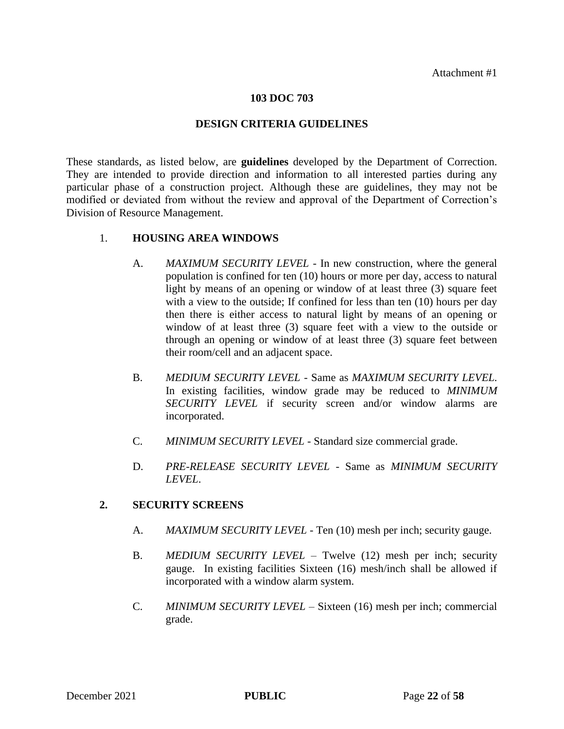#### **103 DOC 703**

#### **DESIGN CRITERIA GUIDELINES**

These standards, as listed below, are **guidelines** developed by the Department of Correction. They are intended to provide direction and information to all interested parties during any particular phase of a construction project. Although these are guidelines, they may not be modified or deviated from without the review and approval of the Department of Correction's Division of Resource Management.

## 1. **HOUSING AREA WINDOWS**

- A. *MAXIMUM SECURITY LEVEL*  In new construction, where the general population is confined for ten (10) hours or more per day, access to natural light by means of an opening or window of at least three (3) square feet with a view to the outside; If confined for less than ten (10) hours per day then there is either access to natural light by means of an opening or window of at least three (3) square feet with a view to the outside or through an opening or window of at least three (3) square feet between their room/cell and an adjacent space.
- B. *MEDIUM SECURITY LEVEL* Same as *MAXIMUM SECURITY LEVEL.* In existing facilities, window grade may be reduced to *MINIMUM SECURITY LEVEL* if security screen and/or window alarms are incorporated.
- C. *MINIMUM SECURITY LEVEL*  Standard size commercial grade.
- D. *PRE-RELEASE SECURITY LEVEL*  Same as *MINIMUM SECURITY LEVEL*.

## **2. SECURITY SCREENS**

- A. *MAXIMUM SECURITY LEVEL -* Ten (10) mesh per inch; security gauge.
- B. *MEDIUM SECURITY LEVEL* Twelve (12) mesh per inch; security gauge. In existing facilities Sixteen (16) mesh/inch shall be allowed if incorporated with a window alarm system.
- C. *MINIMUM SECURITY LEVEL*  Sixteen (16) mesh per inch; commercial grade.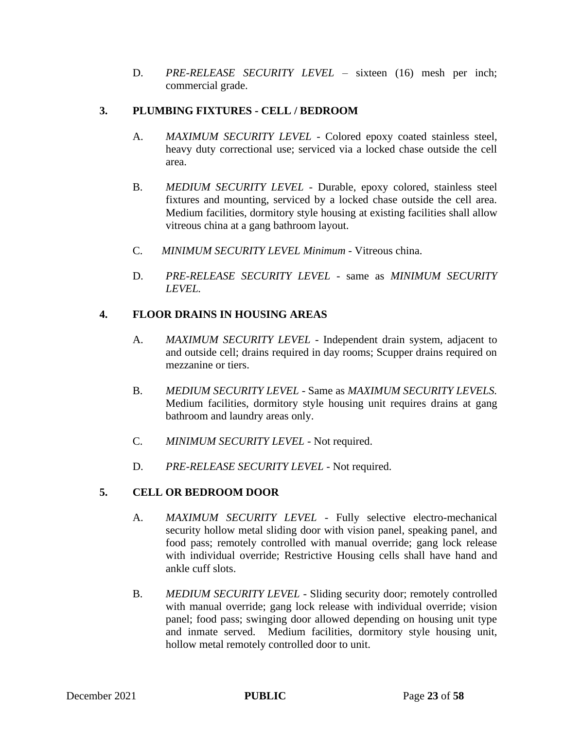D. *PRE-RELEASE SECURITY LEVEL* – sixteen (16) mesh per inch; commercial grade.

# **3. PLUMBING FIXTURES - CELL / BEDROOM**

- A. *MAXIMUM SECURITY LEVEL -* Colored epoxy coated stainless steel, heavy duty correctional use; serviced via a locked chase outside the cell area.
- B. *MEDIUM SECURITY LEVEL* Durable, epoxy colored, stainless steel fixtures and mounting, serviced by a locked chase outside the cell area. Medium facilities, dormitory style housing at existing facilities shall allow vitreous china at a gang bathroom layout.
- C. *MINIMUM SECURITY LEVEL Minimum* Vitreous china.
- D. *PRE-RELEASE SECURITY LEVEL*  same as *MINIMUM SECURITY LEVEL.*

# **4. FLOOR DRAINS IN HOUSING AREAS**

- A. *MAXIMUM SECURITY LEVEL* Independent drain system, adjacent to and outside cell; drains required in day rooms; Scupper drains required on mezzanine or tiers.
- B. *MEDIUM SECURITY LEVEL* Same as *MAXIMUM SECURITY LEVELS.* Medium facilities, dormitory style housing unit requires drains at gang bathroom and laundry areas only.
- C. *MINIMUM SECURITY LEVEL*  Not required.
- D. PRE-RELEASE SECURITY LEVEL Not required.

# **5. CELL OR BEDROOM DOOR**

- A. *MAXIMUM SECURITY LEVEL* Fully selective electro-mechanical security hollow metal sliding door with vision panel, speaking panel, and food pass; remotely controlled with manual override; gang lock release with individual override; Restrictive Housing cells shall have hand and ankle cuff slots.
- B. *MEDIUM SECURITY LEVEL* Sliding security door; remotely controlled with manual override; gang lock release with individual override; vision panel; food pass; swinging door allowed depending on housing unit type and inmate served. Medium facilities, dormitory style housing unit, hollow metal remotely controlled door to unit.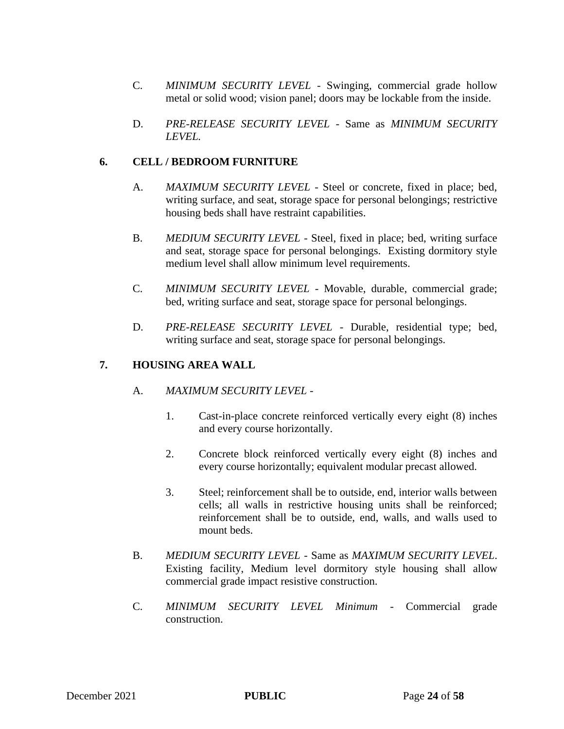- C. *MINIMUM SECURITY LEVEL*  Swinging, commercial grade hollow metal or solid wood; vision panel; doors may be lockable from the inside.
- D. *PRE-RELEASE SECURITY LEVEL*  Same as *MINIMUM SECURITY LEVEL.*

# **6. CELL / BEDROOM FURNITURE**

- A. *MAXIMUM SECURITY LEVEL*  Steel or concrete, fixed in place; bed, writing surface, and seat, storage space for personal belongings; restrictive housing beds shall have restraint capabilities.
- B. *MEDIUM SECURITY LEVEL* Steel, fixed in place; bed, writing surface and seat, storage space for personal belongings. Existing dormitory style medium level shall allow minimum level requirements.
- C. *MINIMUM SECURITY LEVEL*  Movable, durable, commercial grade; bed, writing surface and seat, storage space for personal belongings.
- D. *PRE-RELEASE SECURITY LEVEL* Durable, residential type; bed, writing surface and seat, storage space for personal belongings.

# **7. HOUSING AREA WALL**

- A. *MAXIMUM SECURITY LEVEL* 
	- 1. Cast-in-place concrete reinforced vertically every eight (8) inches and every course horizontally.
	- 2. Concrete block reinforced vertically every eight (8) inches and every course horizontally; equivalent modular precast allowed.
	- 3. Steel; reinforcement shall be to outside, end, interior walls between cells; all walls in restrictive housing units shall be reinforced; reinforcement shall be to outside, end, walls, and walls used to mount beds.
- B. *MEDIUM SECURITY LEVEL* Same as *MAXIMUM SECURITY LEVEL*. Existing facility, Medium level dormitory style housing shall allow commercial grade impact resistive construction.
- C. *MINIMUM SECURITY LEVEL Minimum* Commercial grade construction.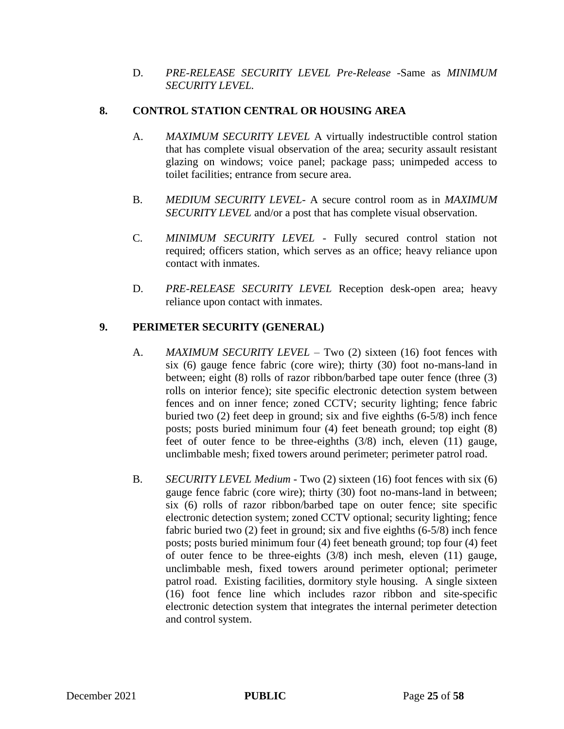D. *PRE-RELEASE SECURITY LEVEL Pre-Release* -Same as *MINIMUM SECURITY LEVEL.*

## **8. CONTROL STATION CENTRAL OR HOUSING AREA**

- A. *MAXIMUM SECURITY LEVEL* A virtually indestructible control station that has complete visual observation of the area; security assault resistant glazing on windows; voice panel; package pass; unimpeded access to toilet facilities; entrance from secure area.
- B. *MEDIUM SECURITY LEVEL* A secure control room as in *MAXIMUM SECURITY LEVEL* and/or a post that has complete visual observation.
- C. *MINIMUM SECURITY LEVEL*  Fully secured control station not required; officers station, which serves as an office; heavy reliance upon contact with inmates.
- D. *PRE-RELEASE SECURITY LEVEL* Reception desk-open area; heavy reliance upon contact with inmates.

# **9. PERIMETER SECURITY (GENERAL)**

- A. *MAXIMUM SECURITY LEVEL* Two (2) sixteen (16) foot fences with six (6) gauge fence fabric (core wire); thirty (30) foot no-mans-land in between; eight (8) rolls of razor ribbon/barbed tape outer fence (three (3) rolls on interior fence); site specific electronic detection system between fences and on inner fence; zoned CCTV; security lighting; fence fabric buried two (2) feet deep in ground; six and five eighths (6-5/8) inch fence posts; posts buried minimum four (4) feet beneath ground; top eight (8) feet of outer fence to be three-eighths (3/8) inch, eleven (11) gauge, unclimbable mesh; fixed towers around perimeter; perimeter patrol road.
- B. *SECURITY LEVEL Medium* Two (2) sixteen (16) foot fences with six (6) gauge fence fabric (core wire); thirty (30) foot no-mans-land in between; six (6) rolls of razor ribbon/barbed tape on outer fence; site specific electronic detection system; zoned CCTV optional; security lighting; fence fabric buried two (2) feet in ground; six and five eighths (6-5/8) inch fence posts; posts buried minimum four (4) feet beneath ground; top four (4) feet of outer fence to be three-eights (3/8) inch mesh, eleven (11) gauge, unclimbable mesh, fixed towers around perimeter optional; perimeter patrol road. Existing facilities, dormitory style housing. A single sixteen (16) foot fence line which includes razor ribbon and site-specific electronic detection system that integrates the internal perimeter detection and control system.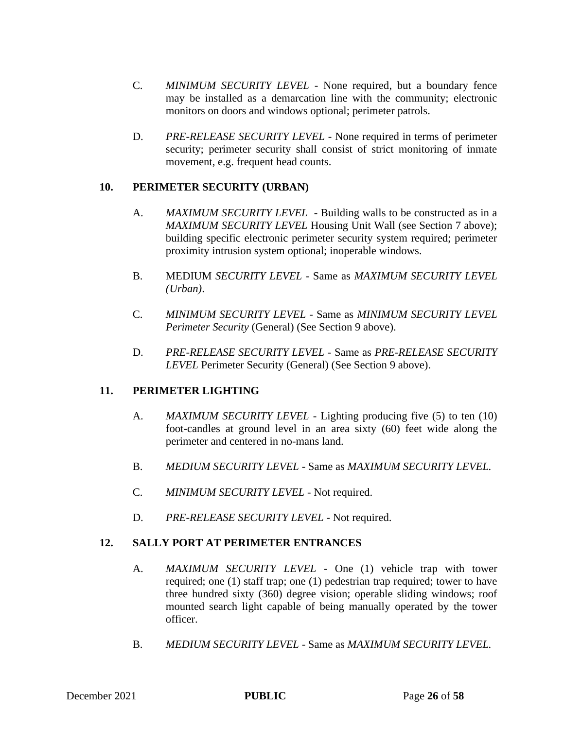- C. *MINIMUM SECURITY LEVEL*  None required, but a boundary fence may be installed as a demarcation line with the community; electronic monitors on doors and windows optional; perimeter patrols.
- D. *PRE-RELEASE SECURITY LEVEL* None required in terms of perimeter security; perimeter security shall consist of strict monitoring of inmate movement, e.g. frequent head counts.

# **10. PERIMETER SECURITY (URBAN)**

- A. *MAXIMUM SECURITY LEVEL*  Building walls to be constructed as in a *MAXIMUM SECURITY LEVEL* Housing Unit Wall (see Section 7 above); building specific electronic perimeter security system required; perimeter proximity intrusion system optional; inoperable windows.
- B. MEDIUM *SECURITY LEVEL* Same as *MAXIMUM SECURITY LEVEL (Urban)*.
- C. *MINIMUM SECURITY LEVEL*  Same as *MINIMUM SECURITY LEVEL Perimeter Security* (General) (See Section 9 above).
- D. *PRE-RELEASE SECURITY LEVEL*  Same as *PRE-RELEASE SECURITY LEVEL* Perimeter Security (General) (See Section 9 above).

# **11. PERIMETER LIGHTING**

- A. *MAXIMUM SECURITY LEVEL* Lighting producing five (5) to ten (10) foot-candles at ground level in an area sixty (60) feet wide along the perimeter and centered in no-mans land.
- B. *MEDIUM SECURITY LEVEL* Same as *MAXIMUM SECURITY LEVEL.*
- C. *MINIMUM SECURITY LEVEL*  Not required.
- D. PRE-RELEASE SECURITY LEVEL Not required.

# **12. SALLY PORT AT PERIMETER ENTRANCES**

- A. *MAXIMUM SECURITY LEVEL* One (1) vehicle trap with tower required; one (1) staff trap; one (1) pedestrian trap required; tower to have three hundred sixty (360) degree vision; operable sliding windows; roof mounted search light capable of being manually operated by the tower officer.
- B. *MEDIUM SECURITY LEVEL* Same as *MAXIMUM SECURITY LEVEL.*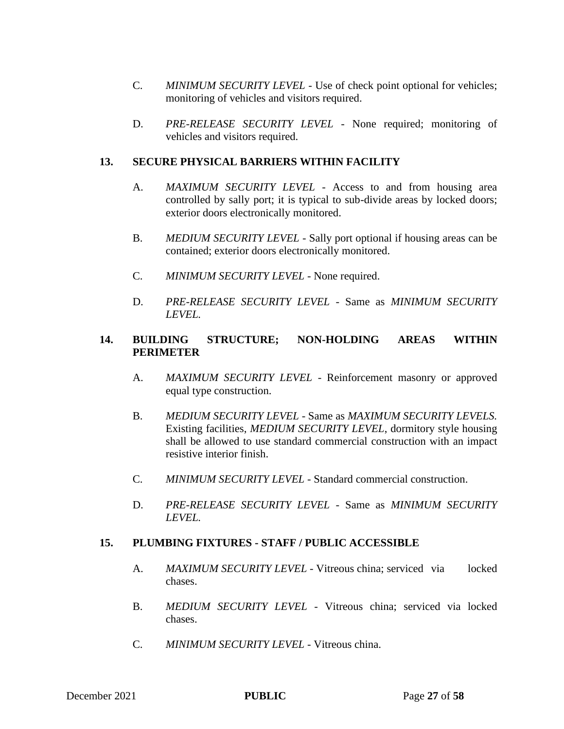- C. *MINIMUM SECURITY LEVEL*  Use of check point optional for vehicles; monitoring of vehicles and visitors required.
- D. *PRE-RELEASE SECURITY LEVEL*  None required; monitoring of vehicles and visitors required.

## **13. SECURE PHYSICAL BARRIERS WITHIN FACILITY**

- A. *MAXIMUM SECURITY LEVEL* Access to and from housing area controlled by sally port; it is typical to sub-divide areas by locked doors; exterior doors electronically monitored.
- B. *MEDIUM SECURITY LEVEL* Sally port optional if housing areas can be contained; exterior doors electronically monitored.
- C. *MINIMUM SECURITY LEVEL*  None required.
- D. *PRE-RELEASE SECURITY LEVEL*  Same as *MINIMUM SECURITY LEVEL.*

# **14. BUILDING STRUCTURE; NON-HOLDING AREAS WITHIN PERIMETER**

- A. *MAXIMUM SECURITY LEVEL* Reinforcement masonry or approved equal type construction.
- B. *MEDIUM SECURITY LEVEL* Same as *MAXIMUM SECURITY LEVELS.*  Existing facilities, *MEDIUM SECURITY LEVEL*, dormitory style housing shall be allowed to use standard commercial construction with an impact resistive interior finish.
- C. *MINIMUM SECURITY LEVEL*  Standard commercial construction.
- D. *PRE-RELEASE SECURITY LEVEL*  Same as *MINIMUM SECURITY LEVEL.*

## **15. PLUMBING FIXTURES - STAFF / PUBLIC ACCESSIBLE**

- A. *MAXIMUM SECURITY LEVEL* Vitreous china; serviced via locked chases.
- B. *MEDIUM SECURITY LEVEL* Vitreous china; serviced via locked chases.
- C. *MINIMUM SECURITY LEVEL*  Vitreous china.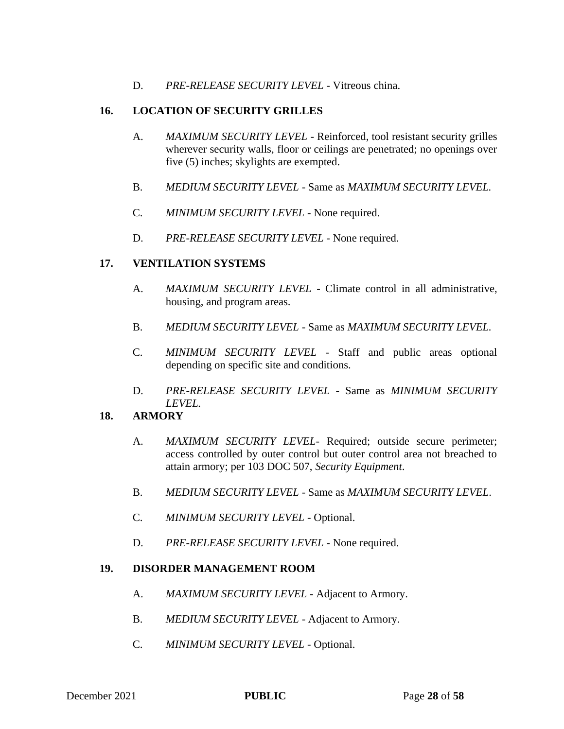D. *PRE-RELEASE SECURITY LEVEL* - Vitreous china.

# **16. LOCATION OF SECURITY GRILLES**

- A. *MAXIMUM SECURITY LEVEL*  Reinforced, tool resistant security grilles wherever security walls, floor or ceilings are penetrated; no openings over five (5) inches; skylights are exempted.
- B. *MEDIUM SECURITY LEVEL* Same as *MAXIMUM SECURITY LEVEL.*
- C. *MINIMUM SECURITY LEVEL*  None required.
- D. *PRE-RELEASE SECURITY LEVEL* None required.

# **17. VENTILATION SYSTEMS**

- A. *MAXIMUM SECURITY LEVEL* Climate control in all administrative, housing, and program areas.
- B. *MEDIUM SECURITY LEVEL* Same as *MAXIMUM SECURITY LEVEL.*
- C. *MINIMUM SECURITY LEVEL*  Staff and public areas optional depending on specific site and conditions.
- D. *PRE-RELEASE SECURITY LEVEL*  Same as *MINIMUM SECURITY LEVEL.*

# **18. ARMORY**

- A. *MAXIMUM SECURITY LEVEL* Required; outside secure perimeter; access controlled by outer control but outer control area not breached to attain armory; per 103 DOC 507, *Security Equipment*.
- B. *MEDIUM SECURITY LEVEL* Same as *MAXIMUM SECURITY LEVEL*.
- C. *MINIMUM SECURITY LEVEL* Optional.
- D. *PRE-RELEASE SECURITY LEVEL* None required.

## **19. DISORDER MANAGEMENT ROOM**

- A. *MAXIMUM SECURITY LEVEL* Adjacent to Armory.
- B. *MEDIUM SECURITY LEVEL* Adjacent to Armory.
- C. *MINIMUM SECURITY LEVEL*  Optional.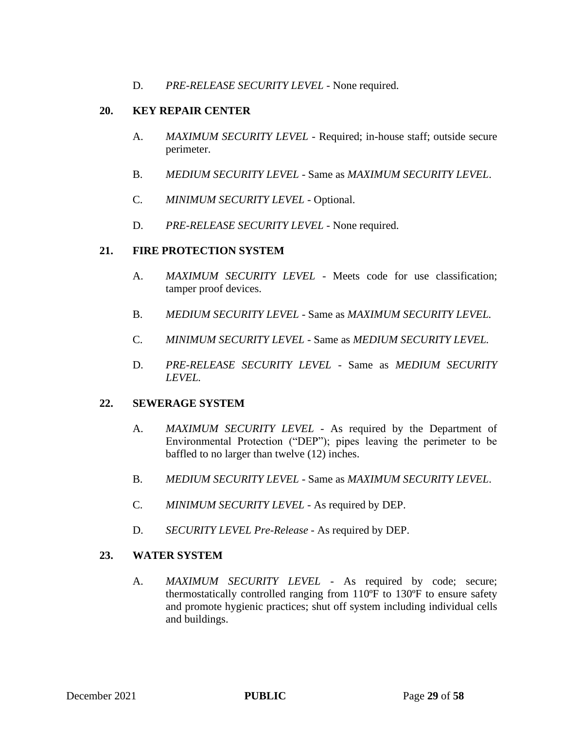D. PRE-RELEASE SECURITY LEVEL - None required.

## **20. KEY REPAIR CENTER**

- A. *MAXIMUM SECURITY LEVEL* Required; in-house staff; outside secure perimeter.
- B. *MEDIUM SECURITY LEVEL* Same as *MAXIMUM SECURITY LEVEL*.
- C. *MINIMUM SECURITY LEVEL*  Optional.
- D. PRE-RELEASE SECURITY LEVEL None required.

## **21. FIRE PROTECTION SYSTEM**

- A. *MAXIMUM SECURITY LEVEL* Meets code for use classification; tamper proof devices.
- B. *MEDIUM SECURITY LEVEL* Same as *MAXIMUM SECURITY LEVEL.*
- C. *MINIMUM SECURITY LEVEL*  Same as *MEDIUM SECURITY LEVEL.*
- D. *PRE-RELEASE SECURITY LEVEL*  Same as *MEDIUM SECURITY LEVEL.*

## **22. SEWERAGE SYSTEM**

- A. *MAXIMUM SECURITY LEVEL* As required by the Department of Environmental Protection ("DEP"); pipes leaving the perimeter to be baffled to no larger than twelve (12) inches.
- B. *MEDIUM SECURITY LEVEL* Same as *MAXIMUM SECURITY LEVEL*.
- C. *MINIMUM SECURITY LEVEL* As required by DEP.
- D. *SECURITY LEVEL Pre-Release* As required by DEP.

## **23. WATER SYSTEM**

A. *MAXIMUM SECURITY LEVEL* - As required by code; secure; thermostatically controlled ranging from 110ºF to 130ºF to ensure safety and promote hygienic practices; shut off system including individual cells and buildings.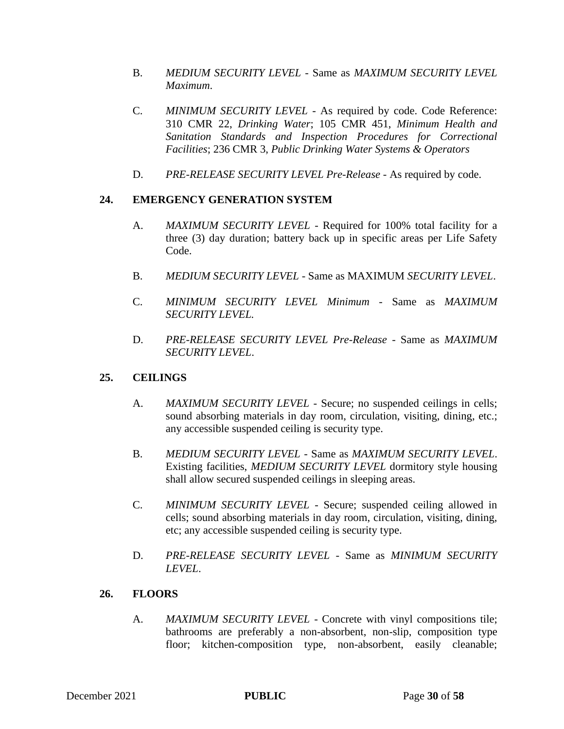- B. *MEDIUM SECURITY LEVEL* Same as *MAXIMUM SECURITY LEVEL Maximum*.
- C. *MINIMUM SECURITY LEVEL*  As required by code. Code Reference: 310 CMR 22, *Drinking Water*; 105 CMR 451, *Minimum Health and Sanitation Standards and Inspection Procedures for Correctional Facilities*; 236 CMR 3, *Public Drinking Water Systems & Operators*
- D. *PRE-RELEASE SECURITY LEVEL Pre-Release* As required by code.

# **24. EMERGENCY GENERATION SYSTEM**

- A. *MAXIMUM SECURITY LEVEL* Required for 100% total facility for a three (3) day duration; battery back up in specific areas per Life Safety Code.
- B. *MEDIUM SECURITY LEVEL* Same as MAXIMUM *SECURITY LEVEL*.
- C. *MINIMUM SECURITY LEVEL Minimum* Same as *MAXIMUM SECURITY LEVEL.*
- D. *PRE-RELEASE SECURITY LEVEL Pre-Release* Same as *MAXIMUM SECURITY LEVEL*.

## **25. CEILINGS**

- A. *MAXIMUM SECURITY LEVEL* Secure; no suspended ceilings in cells; sound absorbing materials in day room, circulation, visiting, dining, etc.; any accessible suspended ceiling is security type.
- B. *MEDIUM SECURITY LEVEL* Same as *MAXIMUM SECURITY LEVEL*. Existing facilities, *MEDIUM SECURITY LEVEL* dormitory style housing shall allow secured suspended ceilings in sleeping areas.
- C. *MINIMUM SECURITY LEVEL*  Secure; suspended ceiling allowed in cells; sound absorbing materials in day room, circulation, visiting, dining, etc; any accessible suspended ceiling is security type.
- D. *PRE-RELEASE SECURITY LEVEL*  Same as *MINIMUM SECURITY LEVEL*.

## **26. FLOORS**

A. *MAXIMUM SECURITY LEVEL* - Concrete with vinyl compositions tile; bathrooms are preferably a non-absorbent, non-slip, composition type floor; kitchen-composition type, non-absorbent, easily cleanable;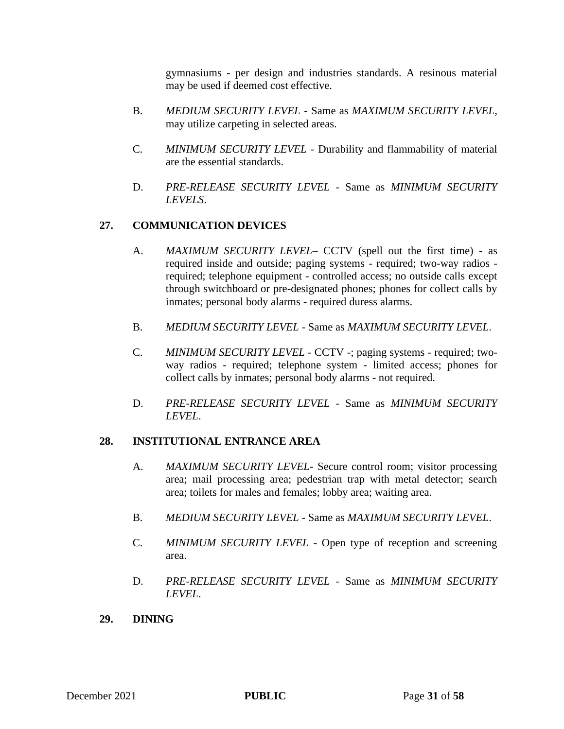gymnasiums - per design and industries standards. A resinous material may be used if deemed cost effective.

- B. *MEDIUM SECURITY LEVEL* Same as *MAXIMUM SECURITY LEVEL*, may utilize carpeting in selected areas.
- C. *MINIMUM SECURITY LEVEL*  Durability and flammability of material are the essential standards.
- D. *PRE-RELEASE SECURITY LEVEL*  Same as *MINIMUM SECURITY LEVELS*.

# **27. COMMUNICATION DEVICES**

- A. *MAXIMUM SECURITY LEVEL* CCTV (spell out the first time) as required inside and outside; paging systems - required; two-way radios required; telephone equipment - controlled access; no outside calls except through switchboard or pre-designated phones; phones for collect calls by inmates; personal body alarms - required duress alarms.
- B. *MEDIUM SECURITY LEVEL* Same as *MAXIMUM SECURITY LEVEL*.
- C. *MINIMUM SECURITY LEVEL*  CCTV -; paging systems required; twoway radios - required; telephone system - limited access; phones for collect calls by inmates; personal body alarms - not required.
- D. *PRE-RELEASE SECURITY LEVEL*  Same as *MINIMUM SECURITY LEVEL*.

# **28. INSTITUTIONAL ENTRANCE AREA**

- A. *MAXIMUM SECURITY LEVEL* Secure control room; visitor processing area; mail processing area; pedestrian trap with metal detector; search area; toilets for males and females; lobby area; waiting area.
- B. *MEDIUM SECURITY LEVEL* Same as *MAXIMUM SECURITY LEVEL*.
- C. *MINIMUM SECURITY LEVEL*  Open type of reception and screening area.
- D. *PRE-RELEASE SECURITY LEVEL*  Same as *MINIMUM SECURITY LEVEL*.

# **29. DINING**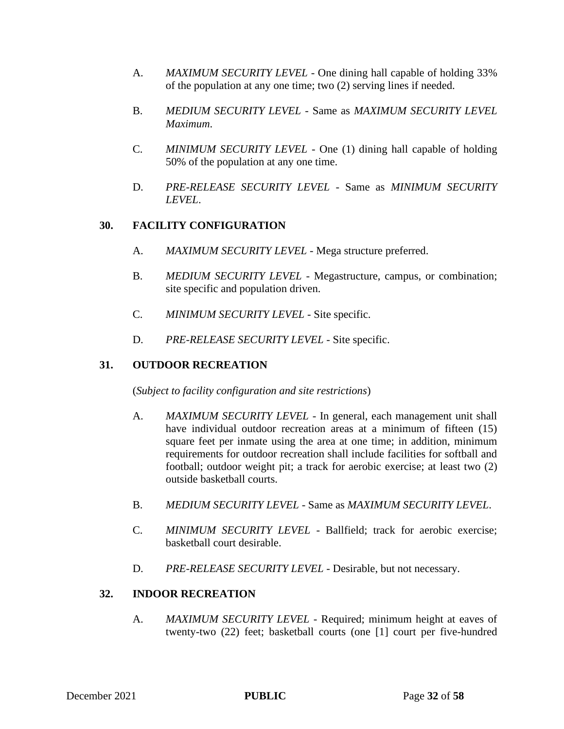- A. *MAXIMUM SECURITY LEVEL* One dining hall capable of holding 33% of the population at any one time; two (2) serving lines if needed.
- B. *MEDIUM SECURITY LEVEL* Same as *MAXIMUM SECURITY LEVEL Maximum*.
- C. *MINIMUM SECURITY LEVEL*  One (1) dining hall capable of holding 50% of the population at any one time.
- D. *PRE-RELEASE SECURITY LEVEL* Same as *MINIMUM SECURITY LEVEL*.

# **30. FACILITY CONFIGURATION**

- A. *MAXIMUM SECURITY LEVEL* Mega structure preferred.
- B. *MEDIUM SECURITY LEVEL* Megastructure, campus, or combination; site specific and population driven.
- C. *MINIMUM SECURITY LEVEL*  Site specific.
- D. *PRE-RELEASE SECURITY LEVEL* Site specific.

# **31. OUTDOOR RECREATION**

(*Subject to facility configuration and site restrictions*)

- A. *MAXIMUM SECURITY LEVEL* In general, each management unit shall have individual outdoor recreation areas at a minimum of fifteen (15) square feet per inmate using the area at one time; in addition, minimum requirements for outdoor recreation shall include facilities for softball and football; outdoor weight pit; a track for aerobic exercise; at least two (2) outside basketball courts.
- B. *MEDIUM SECURITY LEVEL* Same as *MAXIMUM SECURITY LEVEL*.
- C. *MINIMUM SECURITY LEVEL*  Ballfield; track for aerobic exercise; basketball court desirable.
- D. *PRE-RELEASE SECURITY LEVEL* Desirable, but not necessary.

# **32. INDOOR RECREATION**

A. *MAXIMUM SECURITY LEVEL* - Required; minimum height at eaves of twenty-two (22) feet; basketball courts (one [1] court per five-hundred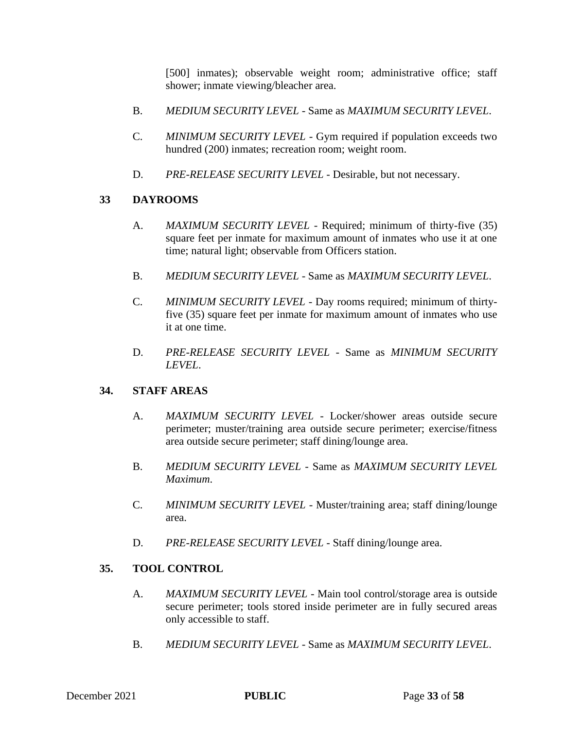[500] inmates); observable weight room; administrative office; staff shower; inmate viewing/bleacher area.

- B. *MEDIUM SECURITY LEVEL* Same as *MAXIMUM SECURITY LEVEL*.
- C. *MINIMUM SECURITY LEVEL*  Gym required if population exceeds two hundred (200) inmates; recreation room; weight room.
- D. *PRE-RELEASE SECURITY LEVEL* Desirable, but not necessary.

# **33 DAYROOMS**

- A. *MAXIMUM SECURITY LEVEL* Required; minimum of thirty-five (35) square feet per inmate for maximum amount of inmates who use it at one time; natural light; observable from Officers station.
- B. *MEDIUM SECURITY LEVEL* Same as *MAXIMUM SECURITY LEVEL*.
- C. *MINIMUM SECURITY LEVEL*  Day rooms required; minimum of thirtyfive (35) square feet per inmate for maximum amount of inmates who use it at one time.
- D. *PRE-RELEASE SECURITY LEVEL*  Same as *MINIMUM SECURITY LEVEL*.

# **34. STAFF AREAS**

- A. *MAXIMUM SECURITY LEVEL* Locker/shower areas outside secure perimeter; muster/training area outside secure perimeter; exercise/fitness area outside secure perimeter; staff dining/lounge area.
- B. *MEDIUM SECURITY LEVEL* Same as *MAXIMUM SECURITY LEVEL Maximum*.
- C. *MINIMUM SECURITY LEVEL*  Muster/training area; staff dining/lounge area.
- D. *PRE-RELEASE SECURITY LEVEL* Staff dining/lounge area.

# **35. TOOL CONTROL**

- A. *MAXIMUM SECURITY LEVEL* Main tool control/storage area is outside secure perimeter; tools stored inside perimeter are in fully secured areas only accessible to staff.
- B. *MEDIUM SECURITY LEVEL* Same as *MAXIMUM SECURITY LEVEL*.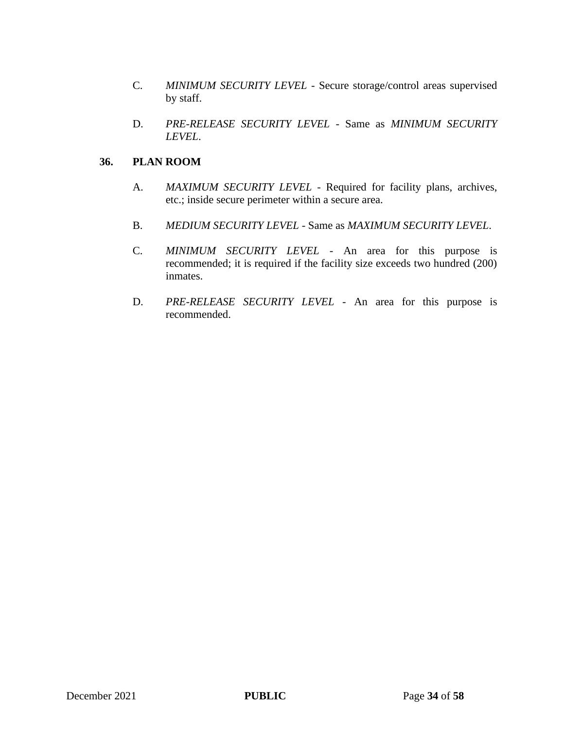- C. *MINIMUM SECURITY LEVEL*  Secure storage/control areas supervised by staff.
- D. *PRE-RELEASE SECURITY LEVEL*  Same as *MINIMUM SECURITY LEVEL*.

# **36. PLAN ROOM**

- A. *MAXIMUM SECURITY LEVEL* Required for facility plans, archives, etc.; inside secure perimeter within a secure area.
- B. *MEDIUM SECURITY LEVEL* Same as *MAXIMUM SECURITY LEVEL*.
- C. *MINIMUM SECURITY LEVEL*  An area for this purpose is recommended; it is required if the facility size exceeds two hundred (200) inmates.
- D. *PRE-RELEASE SECURITY LEVEL* An area for this purpose is recommended.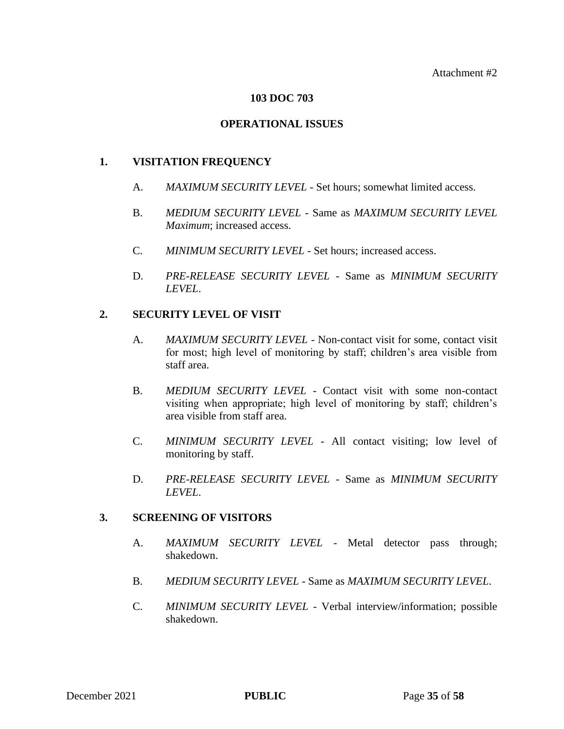## **103 DOC 703**

## **OPERATIONAL ISSUES**

## **1. VISITATION FREQUENCY**

- A. *MAXIMUM SECURITY LEVEL* Set hours; somewhat limited access.
- B. *MEDIUM SECURITY LEVEL* Same as *MAXIMUM SECURITY LEVEL Maximum*; increased access.
- C. *MINIMUM SECURITY LEVEL*  Set hours; increased access.
- D. *PRE-RELEASE SECURITY LEVEL*  Same as *MINIMUM SECURITY LEVEL*.

## **2. SECURITY LEVEL OF VISIT**

- A. *MAXIMUM SECURITY LEVEL* Non-contact visit for some, contact visit for most; high level of monitoring by staff; children's area visible from staff area.
- B. *MEDIUM SECURITY LEVEL* Contact visit with some non-contact visiting when appropriate; high level of monitoring by staff; children's area visible from staff area.
- C. *MINIMUM SECURITY LEVEL*  All contact visiting; low level of monitoring by staff.
- D. *PRE-RELEASE SECURITY LEVEL*  Same as *MINIMUM SECURITY LEVEL*.

## **3. SCREENING OF VISITORS**

- A. **MAXIMUM SECURITY LEVEL** Metal detector pass through; shakedown.
- B. *MEDIUM SECURITY LEVEL* Same as *MAXIMUM SECURITY LEVEL*.
- C. *MINIMUM SECURITY LEVEL*  Verbal interview/information; possible shakedown.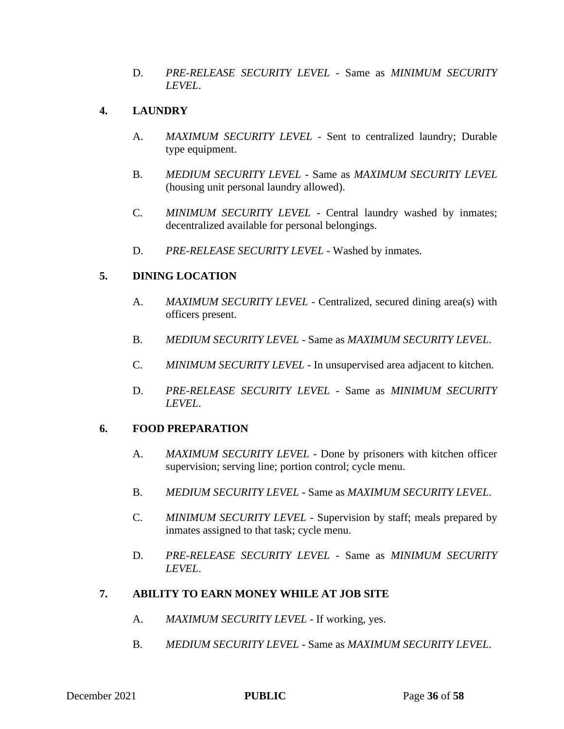D. *PRE-RELEASE SECURITY LEVEL* - Same as *MINIMUM SECURITY LEVEL*.

# **4. LAUNDRY**

- A. *MAXIMUM SECURITY LEVEL* Sent to centralized laundry; Durable type equipment.
- B. *MEDIUM SECURITY LEVEL* Same as *MAXIMUM SECURITY LEVEL*  (housing unit personal laundry allowed).
- C. *MINIMUM SECURITY LEVEL*  Central laundry washed by inmates; decentralized available for personal belongings.
- D. PRE-RELEASE SECURITY LEVEL Washed by inmates.

# **5. DINING LOCATION**

- A. *MAXIMUM SECURITY LEVEL* Centralized, secured dining area(s) with officers present.
- B. *MEDIUM SECURITY LEVEL* Same as *MAXIMUM SECURITY LEVEL*.
- C. *MINIMUM SECURITY LEVEL*  In unsupervised area adjacent to kitchen.
- D. *PRE-RELEASE SECURITY LEVEL*  Same as *MINIMUM SECURITY LEVEL*.

# **6. FOOD PREPARATION**

- A. *MAXIMUM SECURITY LEVEL* Done by prisoners with kitchen officer supervision; serving line; portion control; cycle menu.
- B. *MEDIUM SECURITY LEVEL* Same as *MAXIMUM SECURITY LEVEL*.
- C. *MINIMUM SECURITY LEVEL*  Supervision by staff; meals prepared by inmates assigned to that task; cycle menu.
- D. *PRE-RELEASE SECURITY LEVEL*  Same as *MINIMUM SECURITY LEVEL*.

# **7. ABILITY TO EARN MONEY WHILE AT JOB SITE**

- A. *MAXIMUM SECURITY LEVEL* If working, yes.
- B. *MEDIUM SECURITY LEVEL* Same as *MAXIMUM SECURITY LEVEL*.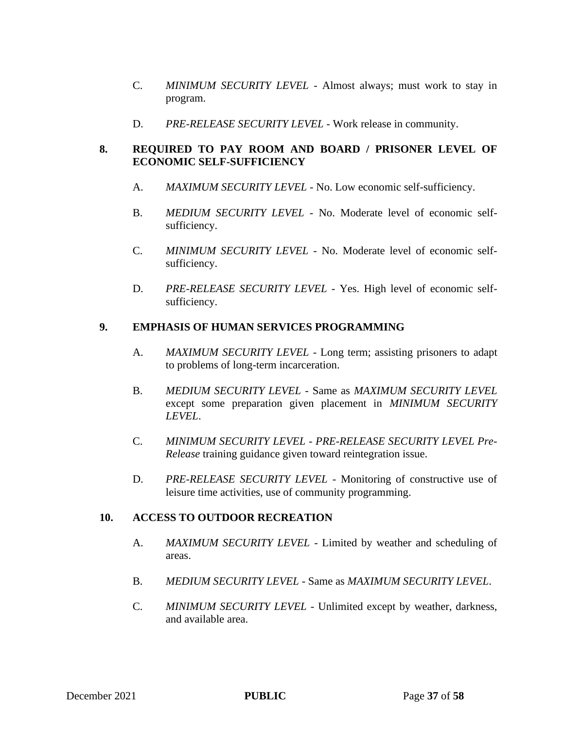- C. *MINIMUM SECURITY LEVEL*  Almost always; must work to stay in program.
- D. PRE-RELEASE SECURITY LEVEL Work release in community.

# **8. REQUIRED TO PAY ROOM AND BOARD / PRISONER LEVEL OF ECONOMIC SELF-SUFFICIENCY**

- A. *MAXIMUM SECURITY LEVEL* No. Low economic self-sufficiency.
- B. *MEDIUM SECURITY LEVEL* No. Moderate level of economic selfsufficiency.
- C. *MINIMUM SECURITY LEVEL*  No. Moderate level of economic selfsufficiency.
- D. *PRE-RELEASE SECURITY LEVEL*  Yes. High level of economic selfsufficiency.

## **9. EMPHASIS OF HUMAN SERVICES PROGRAMMING**

- A. *MAXIMUM SECURITY LEVEL* Long term; assisting prisoners to adapt to problems of long-term incarceration.
- B. *MEDIUM SECURITY LEVEL* Same as *MAXIMUM SECURITY LEVEL* except some preparation given placement in *MINIMUM SECURITY LEVEL*.
- C. *MINIMUM SECURITY LEVEL PRE-RELEASE SECURITY LEVEL Pre-Release* training guidance given toward reintegration issue.
- D. *PRE-RELEASE SECURITY LEVEL* Monitoring of constructive use of leisure time activities, use of community programming.

# **10. ACCESS TO OUTDOOR RECREATION**

- A. *MAXIMUM SECURITY LEVEL* Limited by weather and scheduling of areas.
- B. *MEDIUM SECURITY LEVEL* Same as *MAXIMUM SECURITY LEVEL*.
- C. *MINIMUM SECURITY LEVEL*  Unlimited except by weather, darkness, and available area.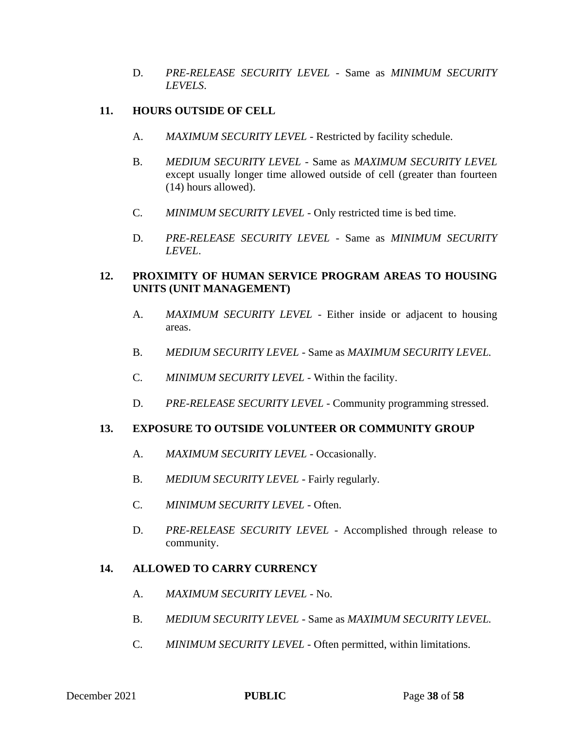D. *PRE-RELEASE SECURITY LEVEL* - Same as *MINIMUM SECURITY LEVELS*.

# **11. HOURS OUTSIDE OF CELL**

- A. *MAXIMUM SECURITY LEVEL* Restricted by facility schedule.
- B. *MEDIUM SECURITY LEVEL* Same as *MAXIMUM SECURITY LEVEL*  except usually longer time allowed outside of cell (greater than fourteen (14) hours allowed).
- C. *MINIMUM SECURITY LEVEL*  Only restricted time is bed time.
- D. *PRE-RELEASE SECURITY LEVEL*  Same as *MINIMUM SECURITY LEVEL*.

# **12. PROXIMITY OF HUMAN SERVICE PROGRAM AREAS TO HOUSING UNITS (UNIT MANAGEMENT)**

- A. *MAXIMUM SECURITY LEVEL* Either inside or adjacent to housing areas.
- B. *MEDIUM SECURITY LEVEL* Same as *MAXIMUM SECURITY LEVEL.*
- C. *MINIMUM SECURITY LEVEL*  Within the facility.
- D. *PRE-RELEASE SECURITY LEVEL* Community programming stressed.

# **13. EXPOSURE TO OUTSIDE VOLUNTEER OR COMMUNITY GROUP**

- A. *MAXIMUM SECURITY LEVEL* Occasionally.
- B. *MEDIUM SECURITY LEVEL* Fairly regularly*.*
- C. *MINIMUM SECURITY LEVEL*  Often.
- D. *PRE-RELEASE SECURITY LEVEL*  Accomplished through release to community.

## **14. ALLOWED TO CARRY CURRENCY**

- A. *MAXIMUM SECURITY LEVEL* No.
- B. *MEDIUM SECURITY LEVEL* Same as *MAXIMUM SECURITY LEVEL.*
- C. *MINIMUM SECURITY LEVEL*  Often permitted, within limitations.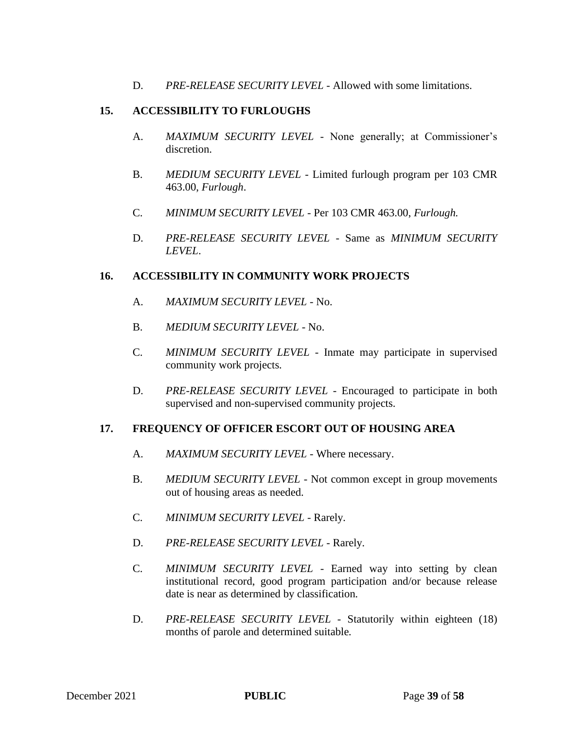D. *PRE-RELEASE SECURITY LEVEL* - Allowed with some limitations.

## **15. ACCESSIBILITY TO FURLOUGHS**

- A. *MAXIMUM SECURITY LEVEL* None generally; at Commissioner's discretion.
- B. *MEDIUM SECURITY LEVEL* Limited furlough program per 103 CMR 463.00, *Furlough*.
- C. *MINIMUM SECURITY LEVEL*  Per 103 CMR 463.00, *Furlough.*
- D. *PRE-RELEASE SECURITY LEVEL*  Same as *MINIMUM SECURITY LEVEL*.

## **16. ACCESSIBILITY IN COMMUNITY WORK PROJECTS**

- A. *MAXIMUM SECURITY LEVEL* No.
- B. *MEDIUM SECURITY LEVEL* No.
- C. *MINIMUM SECURITY LEVEL*  Inmate may participate in supervised community work projects*.*
- D. *PRE-RELEASE SECURITY LEVEL*  Encouraged to participate in both supervised and non-supervised community projects.

## **17. FREQUENCY OF OFFICER ESCORT OUT OF HOUSING AREA**

- A. *MAXIMUM SECURITY LEVEL* Where necessary.
- B. *MEDIUM SECURITY LEVEL* Not common except in group movements out of housing areas as needed.
- C. *MINIMUM SECURITY LEVEL*  Rarely*.*
- D. *PRE-RELEASE SECURITY LEVEL* Rarely.
- C. *MINIMUM SECURITY LEVEL*  Earned way into setting by clean institutional record, good program participation and/or because release date is near as determined by classification*.*
- D. *PRE-RELEASE SECURITY LEVEL* Statutorily within eighteen (18) months of parole and determined suitable*.*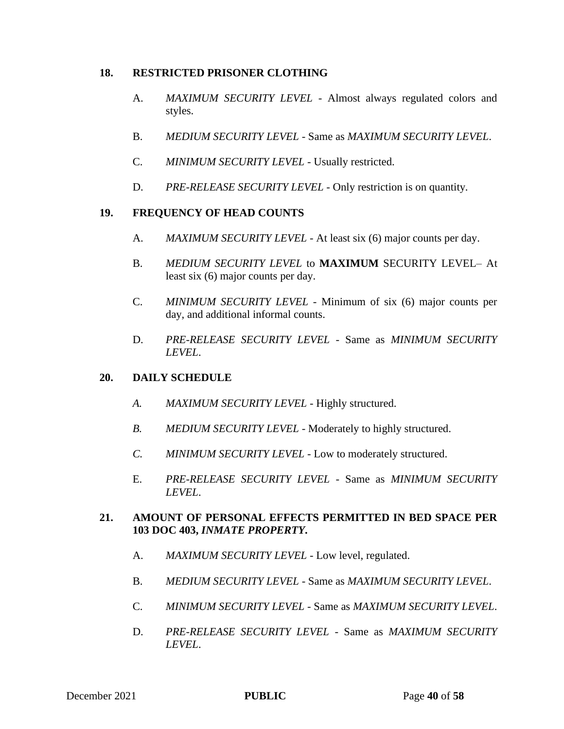## **18. RESTRICTED PRISONER CLOTHING**

- A. *MAXIMUM SECURITY LEVEL* Almost always regulated colors and styles.
- B. *MEDIUM SECURITY LEVEL* Same as *MAXIMUM SECURITY LEVEL*.
- C. *MINIMUM SECURITY LEVEL*  Usually restricted.
- D. *PRE-RELEASE SECURITY LEVEL* Only restriction is on quantity.

# **19. FREQUENCY OF HEAD COUNTS**

- A. *MAXIMUM SECURITY LEVEL* At least six (6) major counts per day.
- B. *MEDIUM SECURITY LEVEL* to **MAXIMUM** SECURITY LEVEL– At least six (6) major counts per day.
- C. *MINIMUM SECURITY LEVEL*  Minimum of six (6) major counts per day, and additional informal counts.
- D. *PRE-RELEASE SECURITY LEVEL*  Same as *MINIMUM SECURITY LEVEL*.

# **20. DAILY SCHEDULE**

- *A. MAXIMUM SECURITY LEVEL* Highly structured.
- *B. MEDIUM SECURITY LEVEL* Moderately to highly structured.
- *C. MINIMUM SECURITY LEVEL*  Low to moderately structured.
- E. *PRE-RELEASE SECURITY LEVEL*  Same as *MINIMUM SECURITY LEVEL*.

# **21. AMOUNT OF PERSONAL EFFECTS PERMITTED IN BED SPACE PER 103 DOC 403,** *INMATE PROPERTY***.**

- A. *MAXIMUM SECURITY LEVEL* Low level, regulated.
- B. *MEDIUM SECURITY LEVEL* Same as *MAXIMUM SECURITY LEVEL*.
- C. *MINIMUM SECURITY LEVEL*  Same as *MAXIMUM SECURITY LEVEL*.
- D. *PRE-RELEASE SECURITY LEVEL* Same as *MAXIMUM SECURITY LEVEL*.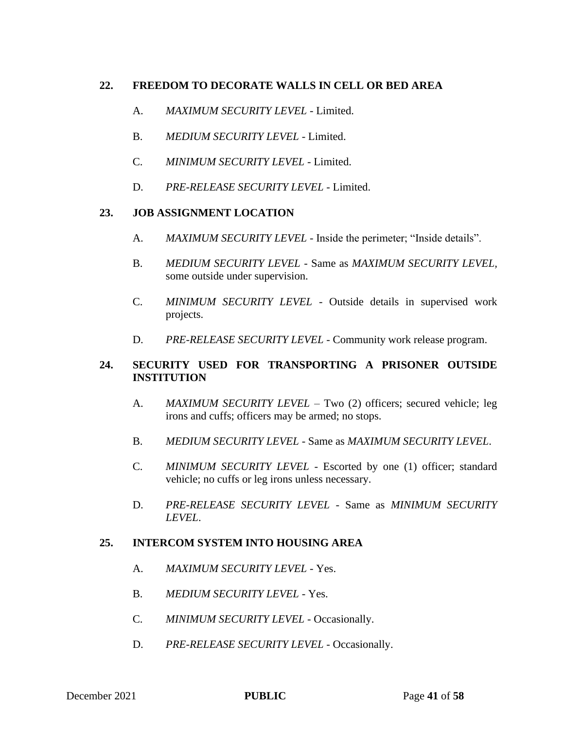# **22. FREEDOM TO DECORATE WALLS IN CELL OR BED AREA**

- A. *MAXIMUM SECURITY LEVEL* Limited.
- B. *MEDIUM SECURITY LEVEL* Limited.
- C. *MINIMUM SECURITY LEVEL*  Limited.
- D. *PRE-RELEASE SECURITY LEVEL* Limited.

## **23. JOB ASSIGNMENT LOCATION**

- A. *MAXIMUM SECURITY LEVEL* Inside the perimeter; "Inside details".
- B. *MEDIUM SECURITY LEVEL* Same as *MAXIMUM SECURITY LEVEL,*  some outside under supervision.
- C. *MINIMUM SECURITY LEVEL*  Outside details in supervised work projects.
- D. *PRE-RELEASE SECURITY LEVEL*  Community work release program.

# **24. SECURITY USED FOR TRANSPORTING A PRISONER OUTSIDE INSTITUTION**

- A. *MAXIMUM SECURITY LEVEL* Two (2) officers; secured vehicle; leg irons and cuffs; officers may be armed; no stops.
- B. *MEDIUM SECURITY LEVEL* Same as *MAXIMUM SECURITY LEVEL*.
- C. *MINIMUM SECURITY LEVEL*  Escorted by one (1) officer; standard vehicle; no cuffs or leg irons unless necessary.
- D. *PRE-RELEASE SECURITY LEVEL*  Same as *MINIMUM SECURITY LEVEL*.

## **25. INTERCOM SYSTEM INTO HOUSING AREA**

- A. *MAXIMUM SECURITY LEVEL* Yes.
- B. *MEDIUM SECURITY LEVEL* Yes.
- C. *MINIMUM SECURITY LEVEL*  Occasionally.
- D. PRE-RELEASE SECURITY LEVEL Occasionally.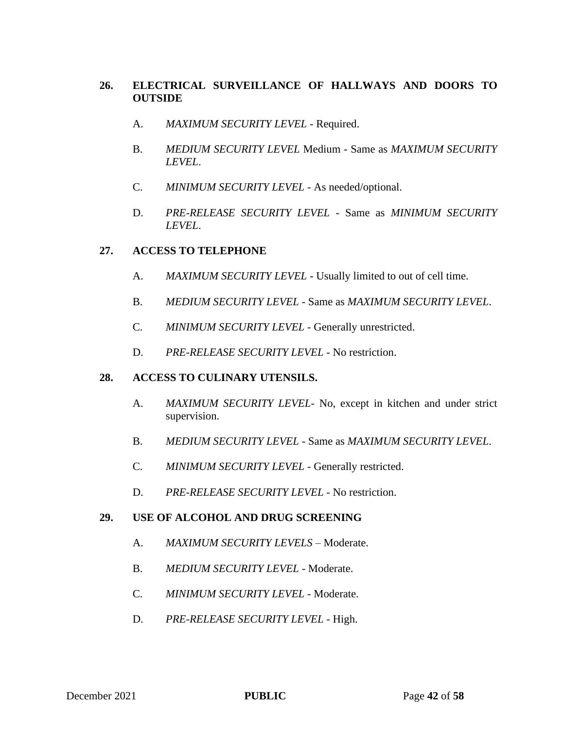# **26. ELECTRICAL SURVEILLANCE OF HALLWAYS AND DOORS TO OUTSIDE**

- A. *MAXIMUM SECURITY LEVEL* Required.
- B. *MEDIUM SECURITY LEVEL* Medium Same as *MAXIMUM SECURITY LEVEL*.
- C. *MINIMUM SECURITY LEVEL*  As needed/optional.
- D. *PRE-RELEASE SECURITY LEVEL*  Same as *MINIMUM SECURITY LEVEL*.

## **27. ACCESS TO TELEPHONE**

- A. *MAXIMUM SECURITY LEVEL* Usually limited to out of cell time.
- B. *MEDIUM SECURITY LEVEL* Same as *MAXIMUM SECURITY LEVEL*.
- C. *MINIMUM SECURITY LEVEL*  Generally unrestricted.
- D. *PRE-RELEASE SECURITY LEVEL* No restriction.

## **28. ACCESS TO CULINARY UTENSILS.**

- A. *MAXIMUM SECURITY LEVEL* No, except in kitchen and under strict supervision.
- B. *MEDIUM SECURITY LEVEL* Same as *MAXIMUM SECURITY LEVEL*.
- C. *MINIMUM SECURITY LEVEL*  Generally restricted.
- D. *PRE-RELEASE SECURITY LEVEL* No restriction.

## **29. USE OF ALCOHOL AND DRUG SCREENING**

- A. *MAXIMUM SECURITY LEVELS Moderate.*
- B. *MEDIUM SECURITY LEVEL* Moderate.
- C. *MINIMUM SECURITY LEVEL*  Moderate.
- D. *PRE-RELEASE SECURITY LEVEL*  High.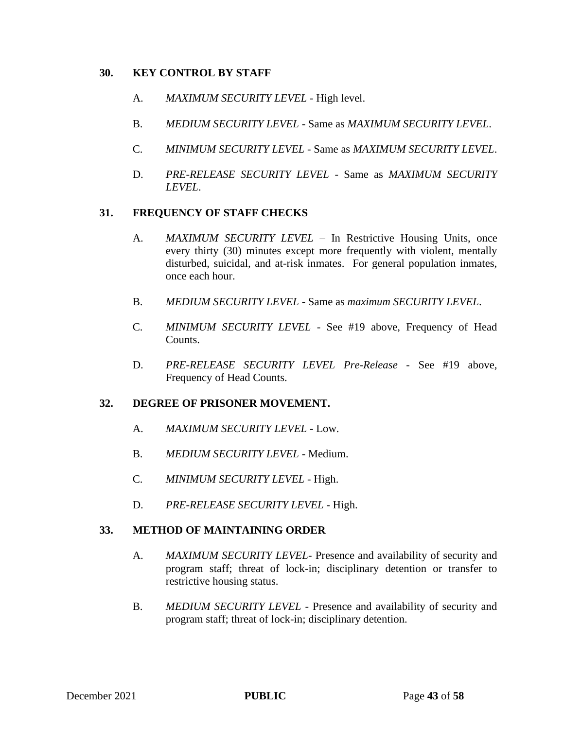## **30. KEY CONTROL BY STAFF**

- A. *MAXIMUM SECURITY LEVEL* High level.
- B. *MEDIUM SECURITY LEVEL* Same as *MAXIMUM SECURITY LEVEL*.
- C. *MINIMUM SECURITY LEVEL*  Same as *MAXIMUM SECURITY LEVEL*.
- D. *PRE-RELEASE SECURITY LEVEL*  Same as *MAXIMUM SECURITY LEVEL*.

## **31. FREQUENCY OF STAFF CHECKS**

- A. *MAXIMUM SECURITY LEVEL* In Restrictive Housing Units, once every thirty (30) minutes except more frequently with violent, mentally disturbed, suicidal, and at-risk inmates. For general population inmates, once each hour.
- B. *MEDIUM SECURITY LEVEL* Same as *maximum SECURITY LEVEL*.
- C. *MINIMUM SECURITY LEVEL* See #19 above, Frequency of Head Counts.
- D. *PRE-RELEASE SECURITY LEVEL Pre-Release* See #19 above, Frequency of Head Counts.

## **32. DEGREE OF PRISONER MOVEMENT.**

- A. *MAXIMUM SECURITY LEVEL* Low.
- B. *MEDIUM SECURITY LEVEL* Medium.
- C. *MINIMUM SECURITY LEVEL*  High.
- D. *PRE-RELEASE SECURITY LEVEL*  High.

#### **33. METHOD OF MAINTAINING ORDER**

- A. *MAXIMUM SECURITY LEVEL* Presence and availability of security and program staff; threat of lock-in; disciplinary detention or transfer to restrictive housing status.
- B. *MEDIUM SECURITY LEVEL* Presence and availability of security and program staff; threat of lock-in; disciplinary detention.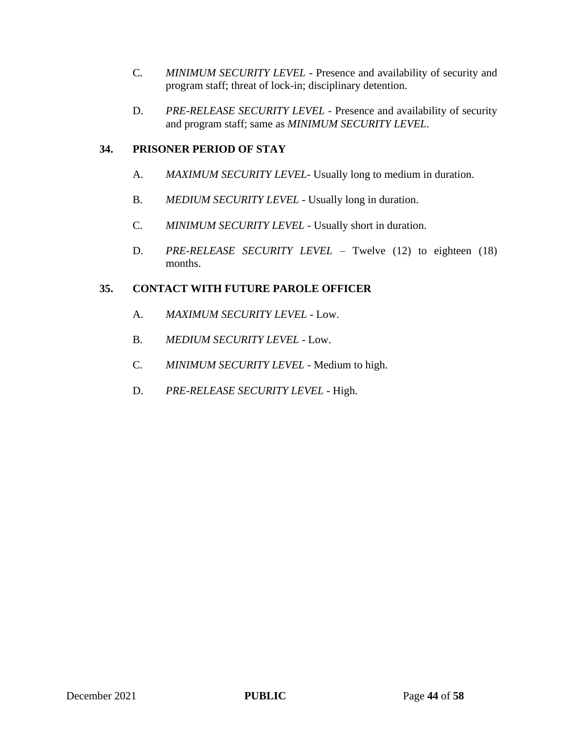- C. *MINIMUM SECURITY LEVEL*  Presence and availability of security and program staff; threat of lock-in; disciplinary detention.
- D. PRE-RELEASE SECURITY LEVEL Presence and availability of security and program staff; same as *MINIMUM SECURITY LEVEL*.

# **34. PRISONER PERIOD OF STAY**

- A. *MAXIMUM SECURITY LEVEL* Usually long to medium in duration.
- B. *MEDIUM SECURITY LEVEL* Usually long in duration.
- C. *MINIMUM SECURITY LEVEL*  Usually short in duration.
- D. *PRE-RELEASE SECURITY LEVEL* Twelve (12) to eighteen (18) months.

# **35. CONTACT WITH FUTURE PAROLE OFFICER**

- A. *MAXIMUM SECURITY LEVEL* Low.
- B. *MEDIUM SECURITY LEVEL* Low.
- C. *MINIMUM SECURITY LEVEL*  Medium to high.
- D. *PRE-RELEASE SECURITY LEVEL*  High.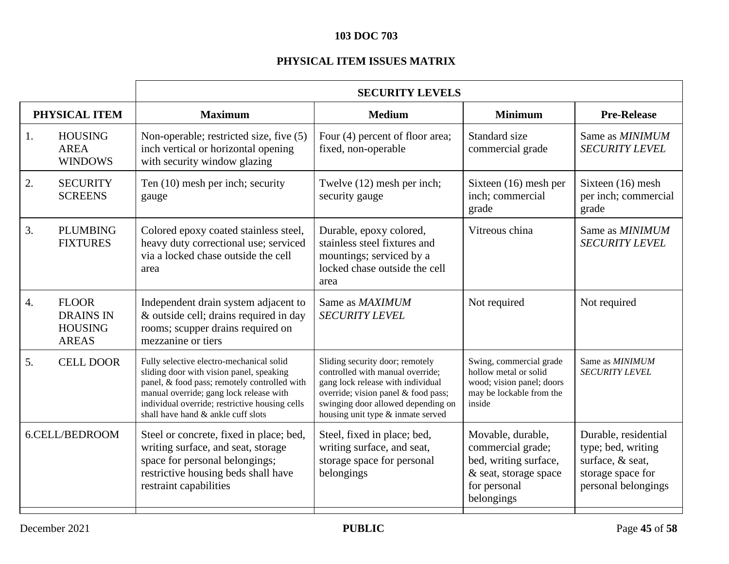# **103 DOC 703**

# **PHYSICAL ITEM ISSUES MATRIX**

|                  |                                                                    | <b>SECURITY LEVELS</b>                                                                                                                                                                                                                                                  |                                                                                                                                                                                                                            |                                                                                                                        |                                                                                                            |
|------------------|--------------------------------------------------------------------|-------------------------------------------------------------------------------------------------------------------------------------------------------------------------------------------------------------------------------------------------------------------------|----------------------------------------------------------------------------------------------------------------------------------------------------------------------------------------------------------------------------|------------------------------------------------------------------------------------------------------------------------|------------------------------------------------------------------------------------------------------------|
|                  | PHYSICAL ITEM                                                      | <b>Maximum</b>                                                                                                                                                                                                                                                          | <b>Medium</b>                                                                                                                                                                                                              | <b>Minimum</b>                                                                                                         | <b>Pre-Release</b>                                                                                         |
| 1.               | <b>HOUSING</b><br><b>AREA</b><br><b>WINDOWS</b>                    | Non-operable; restricted size, five (5)<br>inch vertical or horizontal opening<br>with security window glazing                                                                                                                                                          | Four (4) percent of floor area;<br>fixed, non-operable                                                                                                                                                                     | Standard size<br>commercial grade                                                                                      | Same as MINIMUM<br><b>SECURITY LEVEL</b>                                                                   |
| 2.               | <b>SECURITY</b><br><b>SCREENS</b>                                  | Ten (10) mesh per inch; security<br>gauge                                                                                                                                                                                                                               | Twelve (12) mesh per inch;<br>security gauge                                                                                                                                                                               | Sixteen (16) mesh per<br>inch; commercial<br>grade                                                                     | Sixteen (16) mesh<br>per inch; commercial<br>grade                                                         |
| 3.               | <b>PLUMBING</b><br><b>FIXTURES</b>                                 | Colored epoxy coated stainless steel,<br>heavy duty correctional use; serviced<br>via a locked chase outside the cell<br>area                                                                                                                                           | Durable, epoxy colored,<br>stainless steel fixtures and<br>mountings; serviced by a<br>locked chase outside the cell<br>area                                                                                               | Vitreous china                                                                                                         | Same as MINIMUM<br><b>SECURITY LEVEL</b>                                                                   |
| $\overline{4}$ . | <b>FLOOR</b><br><b>DRAINS IN</b><br><b>HOUSING</b><br><b>AREAS</b> | Independent drain system adjacent to<br>& outside cell; drains required in day<br>rooms; scupper drains required on<br>mezzanine or tiers                                                                                                                               | Same as MAXIMUM<br><b>SECURITY LEVEL</b>                                                                                                                                                                                   | Not required                                                                                                           | Not required                                                                                               |
| 5.               | <b>CELL DOOR</b>                                                   | Fully selective electro-mechanical solid<br>sliding door with vision panel, speaking<br>panel, & food pass; remotely controlled with<br>manual override; gang lock release with<br>individual override; restrictive housing cells<br>shall have hand & ankle cuff slots | Sliding security door; remotely<br>controlled with manual override;<br>gang lock release with individual<br>override; vision panel & food pass;<br>swinging door allowed depending on<br>housing unit type & inmate served | Swing, commercial grade<br>hollow metal or solid<br>wood; vision panel; doors<br>may be lockable from the<br>inside    | Same as MINIMUM<br><b>SECURITY LEVEL</b>                                                                   |
|                  | 6.CELL/BEDROOM                                                     | Steel or concrete, fixed in place; bed,<br>writing surface, and seat, storage<br>space for personal belongings;<br>restrictive housing beds shall have<br>restraint capabilities                                                                                        | Steel, fixed in place; bed,<br>writing surface, and seat,<br>storage space for personal<br>belongings                                                                                                                      | Movable, durable,<br>commercial grade;<br>bed, writing surface,<br>& seat, storage space<br>for personal<br>belongings | Durable, residential<br>type; bed, writing<br>surface, & seat,<br>storage space for<br>personal belongings |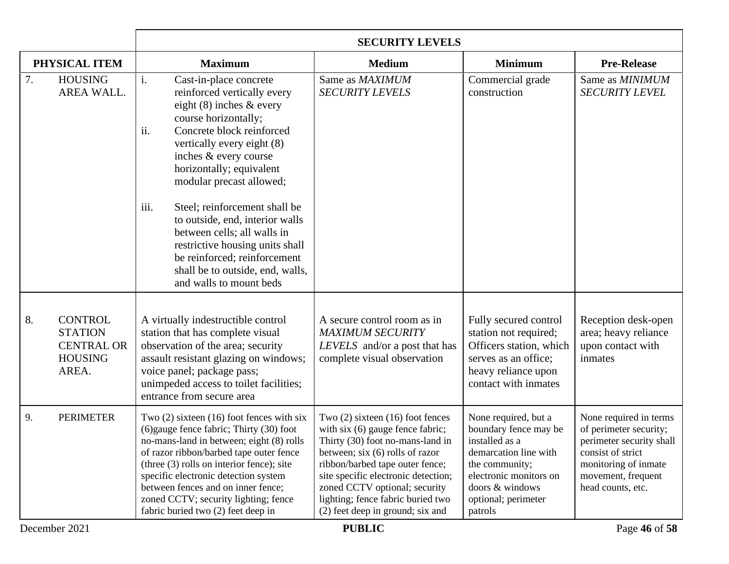|                                                                                        | <b>SECURITY LEVELS</b>                                                                                                                                                                                                                                                                                                                                                                                                                                                                                                        |                                                                                                                                                                                                                                                                                                                                         |                                                                                                                                                                                           |                                                                                                                                                                      |
|----------------------------------------------------------------------------------------|-------------------------------------------------------------------------------------------------------------------------------------------------------------------------------------------------------------------------------------------------------------------------------------------------------------------------------------------------------------------------------------------------------------------------------------------------------------------------------------------------------------------------------|-----------------------------------------------------------------------------------------------------------------------------------------------------------------------------------------------------------------------------------------------------------------------------------------------------------------------------------------|-------------------------------------------------------------------------------------------------------------------------------------------------------------------------------------------|----------------------------------------------------------------------------------------------------------------------------------------------------------------------|
| PHYSICAL ITEM                                                                          | <b>Maximum</b>                                                                                                                                                                                                                                                                                                                                                                                                                                                                                                                | <b>Medium</b>                                                                                                                                                                                                                                                                                                                           | <b>Minimum</b>                                                                                                                                                                            | <b>Pre-Release</b>                                                                                                                                                   |
| 7.<br><b>HOUSING</b><br>AREA WALL.                                                     | $\mathbf{i}$ .<br>Cast-in-place concrete<br>reinforced vertically every<br>eight $(8)$ inches & every<br>course horizontally;<br>ii.<br>Concrete block reinforced<br>vertically every eight (8)<br>inches & every course<br>horizontally; equivalent<br>modular precast allowed;<br>iii.<br>Steel; reinforcement shall be<br>to outside, end, interior walls<br>between cells; all walls in<br>restrictive housing units shall<br>be reinforced; reinforcement<br>shall be to outside, end, walls,<br>and walls to mount beds | Same as MAXIMUM<br><b>SECURITY LEVELS</b>                                                                                                                                                                                                                                                                                               | Commercial grade<br>construction                                                                                                                                                          | Same as MINIMUM<br><b>SECURITY LEVEL</b>                                                                                                                             |
| 8.<br><b>CONTROL</b><br><b>STATION</b><br><b>CENTRAL OR</b><br><b>HOUSING</b><br>AREA. | A virtually indestructible control<br>station that has complete visual<br>observation of the area; security<br>assault resistant glazing on windows;<br>voice panel; package pass;<br>unimpeded access to toilet facilities;<br>entrance from secure area                                                                                                                                                                                                                                                                     | A secure control room as in<br><b>MAXIMUM SECURITY</b><br>LEVELS and/or a post that has<br>complete visual observation                                                                                                                                                                                                                  | Fully secured control<br>station not required;<br>Officers station, which<br>serves as an office;<br>heavy reliance upon<br>contact with inmates                                          | Reception desk-open<br>area; heavy reliance<br>upon contact with<br>inmates                                                                                          |
| 9.<br><b>PERIMETER</b>                                                                 | Two $(2)$ sixteen $(16)$ foot fences with six<br>(6) gauge fence fabric; Thirty (30) foot<br>no-mans-land in between; eight (8) rolls<br>of razor ribbon/barbed tape outer fence<br>(three $(3)$ rolls on interior fence); site<br>specific electronic detection system<br>between fences and on inner fence;<br>zoned CCTV; security lighting; fence<br>fabric buried two (2) feet deep in                                                                                                                                   | Two $(2)$ sixteen $(16)$ foot fences<br>with $\sin(6)$ gauge fence fabric;<br>Thirty (30) foot no-mans-land in<br>between; six $(6)$ rolls of razor<br>ribbon/barbed tape outer fence;<br>site specific electronic detection;<br>zoned CCTV optional; security<br>lighting; fence fabric buried two<br>(2) feet deep in ground; six and | None required, but a<br>boundary fence may be<br>installed as a<br>demarcation line with<br>the community;<br>electronic monitors on<br>doors & windows<br>optional; perimeter<br>patrols | None required in terms<br>of perimeter security;<br>perimeter security shall<br>consist of strict<br>monitoring of inmate<br>movement, frequent<br>head counts, etc. |
| December 2021                                                                          |                                                                                                                                                                                                                                                                                                                                                                                                                                                                                                                               | <b>PUBLIC</b>                                                                                                                                                                                                                                                                                                                           |                                                                                                                                                                                           | Page 46 of 58                                                                                                                                                        |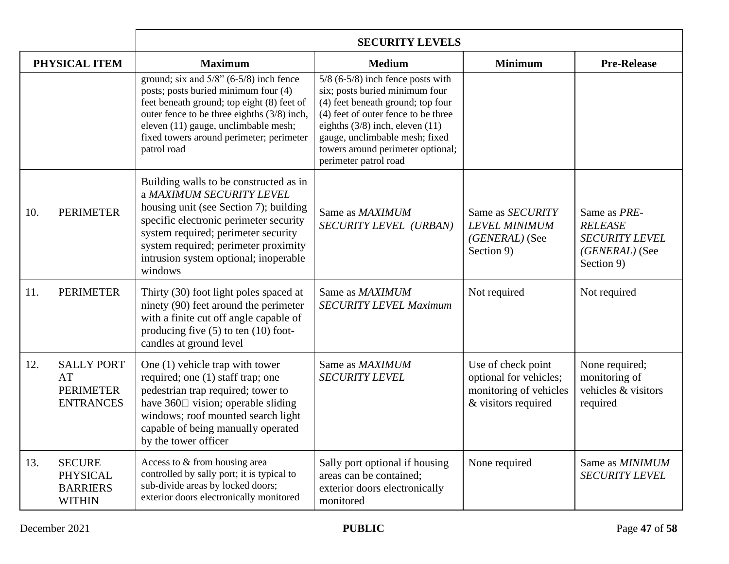|     |                                                                      | <b>SECURITY LEVELS</b>                                                                                                                                                                                                                                                                    |                                                                                                                                                                                                                                                                                          |                                                                                               |                                                                                         |
|-----|----------------------------------------------------------------------|-------------------------------------------------------------------------------------------------------------------------------------------------------------------------------------------------------------------------------------------------------------------------------------------|------------------------------------------------------------------------------------------------------------------------------------------------------------------------------------------------------------------------------------------------------------------------------------------|-----------------------------------------------------------------------------------------------|-----------------------------------------------------------------------------------------|
|     | PHYSICAL ITEM                                                        | <b>Maximum</b>                                                                                                                                                                                                                                                                            | <b>Medium</b>                                                                                                                                                                                                                                                                            | <b>Minimum</b>                                                                                | <b>Pre-Release</b>                                                                      |
|     |                                                                      | ground; six and $5/8$ " (6-5/8) inch fence<br>posts; posts buried minimum four (4)<br>feet beneath ground; top eight (8) feet of<br>outer fence to be three eighths (3/8) inch,<br>eleven (11) gauge, unclimbable mesh;<br>fixed towers around perimeter; perimeter<br>patrol road        | $5/8$ (6-5/8) inch fence posts with<br>six; posts buried minimum four<br>(4) feet beneath ground; top four<br>(4) feet of outer fence to be three<br>eighths $(3/8)$ inch, eleven $(11)$<br>gauge, unclimbable mesh; fixed<br>towers around perimeter optional;<br>perimeter patrol road |                                                                                               |                                                                                         |
| 10. | <b>PERIMETER</b>                                                     | Building walls to be constructed as in<br>a MAXIMUM SECURITY LEVEL<br>housing unit (see Section 7); building<br>specific electronic perimeter security<br>system required; perimeter security<br>system required; perimeter proximity<br>intrusion system optional; inoperable<br>windows | Same as MAXIMUM<br>SECURITY LEVEL (URBAN)                                                                                                                                                                                                                                                | Same as SECURITY<br><b>LEVEL MINIMUM</b><br>(GENERAL) (See<br>Section 9)                      | Same as PRE-<br><b>RELEASE</b><br><b>SECURITY LEVEL</b><br>(GENERAL) (See<br>Section 9) |
| 11. | <b>PERIMETER</b>                                                     | Thirty (30) foot light poles spaced at<br>ninety (90) feet around the perimeter<br>with a finite cut off angle capable of<br>producing five $(5)$ to ten $(10)$ foot-<br>candles at ground level                                                                                          | Same as MAXIMUM<br><b>SECURITY LEVEL Maximum</b>                                                                                                                                                                                                                                         | Not required                                                                                  | Not required                                                                            |
| 12. | <b>SALLY PORT</b><br>AT<br><b>PERIMETER</b><br><b>ENTRANCES</b>      | One $(1)$ vehicle trap with tower<br>required; one (1) staff trap; one<br>pedestrian trap required; tower to<br>have $360\Box$ vision; operable sliding<br>windows; roof mounted search light<br>capable of being manually operated<br>by the tower officer                               | Same as MAXIMUM<br><b>SECURITY LEVEL</b>                                                                                                                                                                                                                                                 | Use of check point<br>optional for vehicles;<br>monitoring of vehicles<br>& visitors required | None required;<br>monitoring of<br>vehicles & visitors<br>required                      |
| 13. | <b>SECURE</b><br><b>PHYSICAL</b><br><b>BARRIERS</b><br><b>WITHIN</b> | Access to & from housing area<br>controlled by sally port; it is typical to<br>sub-divide areas by locked doors;<br>exterior doors electronically monitored                                                                                                                               | Sally port optional if housing<br>areas can be contained;<br>exterior doors electronically<br>monitored                                                                                                                                                                                  | None required                                                                                 | Same as MINIMUM<br><b>SECURITY LEVEL</b>                                                |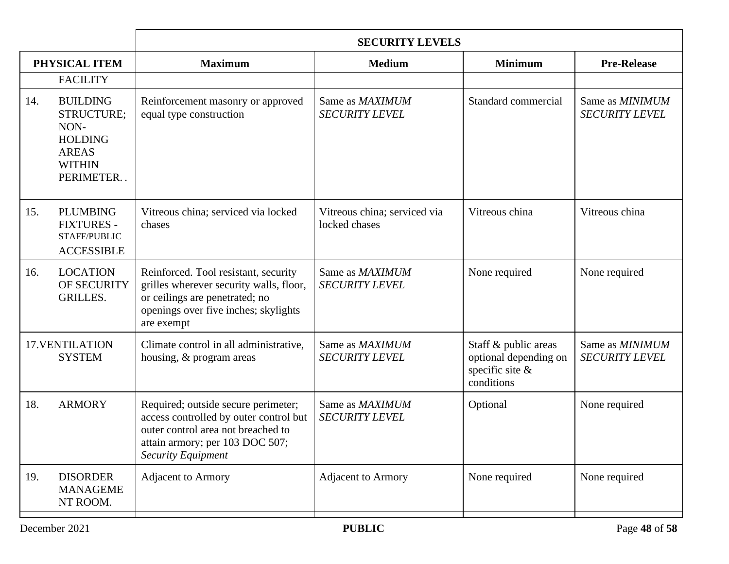|     |                                                                                                       | <b>SECURITY LEVELS</b>                                                                                                                                                              |                                               |                                                                                |                                          |
|-----|-------------------------------------------------------------------------------------------------------|-------------------------------------------------------------------------------------------------------------------------------------------------------------------------------------|-----------------------------------------------|--------------------------------------------------------------------------------|------------------------------------------|
|     | PHYSICAL ITEM                                                                                         | <b>Maximum</b>                                                                                                                                                                      | <b>Medium</b>                                 | <b>Minimum</b>                                                                 | <b>Pre-Release</b>                       |
|     | <b>FACILITY</b>                                                                                       |                                                                                                                                                                                     |                                               |                                                                                |                                          |
| 14. | <b>BUILDING</b><br>STRUCTURE;<br>NON-<br><b>HOLDING</b><br><b>AREAS</b><br><b>WITHIN</b><br>PERIMETER | Reinforcement masonry or approved<br>equal type construction                                                                                                                        | Same as MAXIMUM<br><b>SECURITY LEVEL</b>      | Standard commercial                                                            | Same as MINIMUM<br><b>SECURITY LEVEL</b> |
| 15. | <b>PLUMBING</b><br><b>FIXTURES -</b><br>STAFF/PUBLIC<br><b>ACCESSIBLE</b>                             | Vitreous china; serviced via locked<br>chases                                                                                                                                       | Vitreous china; serviced via<br>locked chases | Vitreous china                                                                 | Vitreous china                           |
| 16. | <b>LOCATION</b><br>OF SECURITY<br><b>GRILLES.</b>                                                     | Reinforced. Tool resistant, security<br>grilles wherever security walls, floor,<br>or ceilings are penetrated; no<br>openings over five inches; skylights<br>are exempt             | Same as MAXIMUM<br><b>SECURITY LEVEL</b>      | None required                                                                  | None required                            |
|     | 17. VENTILATION<br><b>SYSTEM</b>                                                                      | Climate control in all administrative,<br>housing, & program areas                                                                                                                  | Same as MAXIMUM<br><b>SECURITY LEVEL</b>      | Staff & public areas<br>optional depending on<br>specific site &<br>conditions | Same as MINIMUM<br><b>SECURITY LEVEL</b> |
| 18. | <b>ARMORY</b>                                                                                         | Required; outside secure perimeter;<br>access controlled by outer control but<br>outer control area not breached to<br>attain armory; per 103 DOC 507;<br><b>Security Equipment</b> | Same as MAXIMUM<br><b>SECURITY LEVEL</b>      | Optional                                                                       | None required                            |
| 19. | <b>DISORDER</b><br><b>MANAGEME</b><br>NT ROOM.                                                        | <b>Adjacent to Armory</b>                                                                                                                                                           | <b>Adjacent to Armory</b>                     | None required                                                                  | None required                            |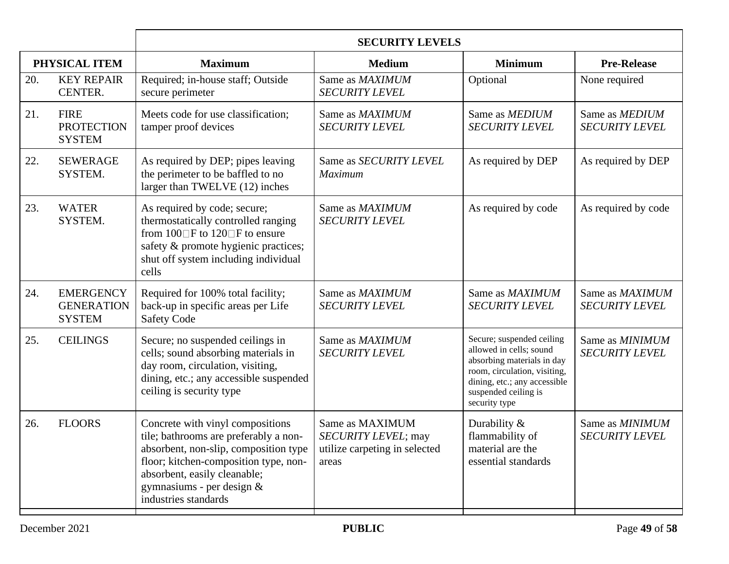|     |                                                        | <b>SECURITY LEVELS</b>                                                                                                                                                                                                                             |                                                                                  |                                                                                                                                                                                             |                                                 |
|-----|--------------------------------------------------------|----------------------------------------------------------------------------------------------------------------------------------------------------------------------------------------------------------------------------------------------------|----------------------------------------------------------------------------------|---------------------------------------------------------------------------------------------------------------------------------------------------------------------------------------------|-------------------------------------------------|
|     | PHYSICAL ITEM                                          | <b>Maximum</b>                                                                                                                                                                                                                                     | <b>Medium</b>                                                                    | <b>Minimum</b>                                                                                                                                                                              | <b>Pre-Release</b>                              |
| 20. | <b>KEY REPAIR</b><br>CENTER.                           | Required; in-house staff; Outside<br>secure perimeter                                                                                                                                                                                              | Same as MAXIMUM<br><b>SECURITY LEVEL</b>                                         | Optional                                                                                                                                                                                    | None required                                   |
| 21. | <b>FIRE</b><br><b>PROTECTION</b><br><b>SYSTEM</b>      | Meets code for use classification;<br>tamper proof devices                                                                                                                                                                                         | Same as MAXIMUM<br><b>SECURITY LEVEL</b>                                         | Same as MEDIUM<br><b>SECURITY LEVEL</b>                                                                                                                                                     | Same as MEDIUM<br><b>SECURITY LEVEL</b>         |
| 22. | <b>SEWERAGE</b><br>SYSTEM.                             | As required by DEP; pipes leaving<br>the perimeter to be baffled to no<br>larger than TWELVE (12) inches                                                                                                                                           | Same as SECURITY LEVEL<br>Maximum                                                | As required by DEP                                                                                                                                                                          | As required by DEP                              |
| 23. | <b>WATER</b><br>SYSTEM.                                | As required by code; secure;<br>thermostatically controlled ranging<br>from $100 \square F$ to $120 \square F$ to ensure<br>safety & promote hygienic practices;<br>shut off system including individual<br>cells                                  | Same as MAXIMUM<br><b>SECURITY LEVEL</b>                                         | As required by code                                                                                                                                                                         | As required by code                             |
| 24. | <b>EMERGENCY</b><br><b>GENERATION</b><br><b>SYSTEM</b> | Required for 100% total facility;<br>back-up in specific areas per Life<br><b>Safety Code</b>                                                                                                                                                      | Same as MAXIMUM<br><b>SECURITY LEVEL</b>                                         | Same as MAXIMUM<br><b>SECURITY LEVEL</b>                                                                                                                                                    | Same as MAXIMUM<br><b>SECURITY LEVEL</b>        |
| 25. | <b>CEILINGS</b>                                        | Secure; no suspended ceilings in<br>cells; sound absorbing materials in<br>day room, circulation, visiting,<br>dining, etc.; any accessible suspended<br>ceiling is security type                                                                  | Same as MAXIMUM<br><b>SECURITY LEVEL</b>                                         | Secure; suspended ceiling<br>allowed in cells; sound<br>absorbing materials in day<br>room, circulation, visiting,<br>dining, etc.; any accessible<br>suspended ceiling is<br>security type | Same as <b>MINIMUM</b><br><b>SECURITY LEVEL</b> |
| 26. | <b>FLOORS</b>                                          | Concrete with vinyl compositions<br>tile; bathrooms are preferably a non-<br>absorbent, non-slip, composition type<br>floor; kitchen-composition type, non-<br>absorbent, easily cleanable;<br>gymnasiums - per design $&$<br>industries standards | Same as MAXIMUM<br>SECURITY LEVEL; may<br>utilize carpeting in selected<br>areas | Durability $\&$<br>flammability of<br>material are the<br>essential standards                                                                                                               | Same as <b>MINIMUM</b><br><b>SECURITY LEVEL</b> |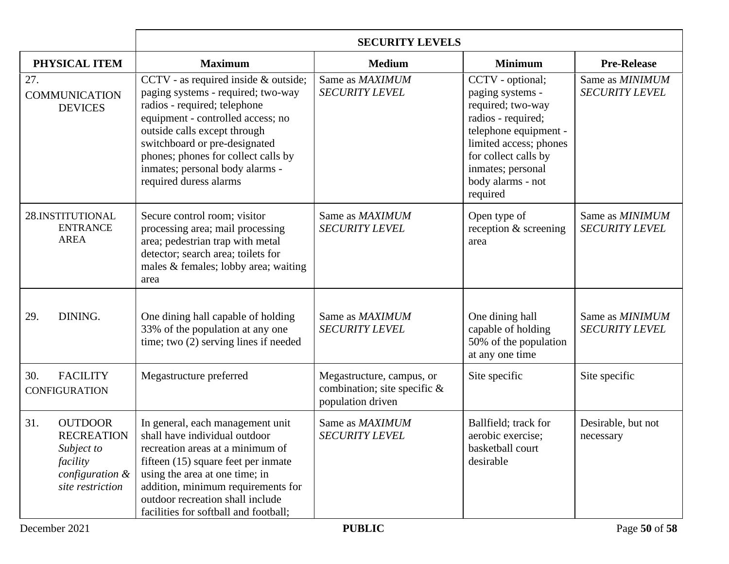|                                                                                                             | <b>SECURITY LEVELS</b>                                                                                                                                                                                                                                                                                               |                                                                                |                                                                                                                                                                                                                  |                                          |
|-------------------------------------------------------------------------------------------------------------|----------------------------------------------------------------------------------------------------------------------------------------------------------------------------------------------------------------------------------------------------------------------------------------------------------------------|--------------------------------------------------------------------------------|------------------------------------------------------------------------------------------------------------------------------------------------------------------------------------------------------------------|------------------------------------------|
| PHYSICAL ITEM                                                                                               | <b>Maximum</b>                                                                                                                                                                                                                                                                                                       | <b>Medium</b>                                                                  | <b>Minimum</b>                                                                                                                                                                                                   | <b>Pre-Release</b>                       |
| 27.<br><b>COMMUNICATION</b><br><b>DEVICES</b>                                                               | CCTV - as required inside & outside;<br>paging systems - required; two-way<br>radios - required; telephone<br>equipment - controlled access; no<br>outside calls except through<br>switchboard or pre-designated<br>phones; phones for collect calls by<br>inmates; personal body alarms -<br>required duress alarms | Same as MAXIMUM<br><b>SECURITY LEVEL</b>                                       | CCTV - optional;<br>paging systems -<br>required; two-way<br>radios - required;<br>telephone equipment -<br>limited access; phones<br>for collect calls by<br>inmates; personal<br>body alarms - not<br>required | Same as MINIMUM<br><b>SECURITY LEVEL</b> |
| 28.INSTITUTIONAL<br><b>ENTRANCE</b><br><b>AREA</b>                                                          | Secure control room; visitor<br>processing area; mail processing<br>area; pedestrian trap with metal<br>detector; search area; toilets for<br>males & females; lobby area; waiting<br>area                                                                                                                           | Same as MAXIMUM<br><b>SECURITY LEVEL</b>                                       | Open type of<br>reception & screening<br>area                                                                                                                                                                    | Same as MINIMUM<br><b>SECURITY LEVEL</b> |
| 29.<br>DINING.                                                                                              | One dining hall capable of holding<br>33% of the population at any one<br>time; two $(2)$ serving lines if needed                                                                                                                                                                                                    | Same as MAXIMUM<br><b>SECURITY LEVEL</b>                                       | One dining hall<br>capable of holding<br>50% of the population<br>at any one time                                                                                                                                | Same as MINIMUM<br><b>SECURITY LEVEL</b> |
| <b>FACILITY</b><br>30.<br><b>CONFIGURATION</b>                                                              | Megastructure preferred                                                                                                                                                                                                                                                                                              | Megastructure, campus, or<br>combination; site specific &<br>population driven | Site specific                                                                                                                                                                                                    | Site specific                            |
| 31.<br><b>OUTDOOR</b><br><b>RECREATION</b><br>Subject to<br>facility<br>configuration &<br>site restriction | In general, each management unit<br>shall have individual outdoor<br>recreation areas at a minimum of<br>fifteen (15) square feet per inmate<br>using the area at one time; in<br>addition, minimum requirements for<br>outdoor recreation shall include<br>facilities for softball and football;                    | Same as MAXIMUM<br><b>SECURITY LEVEL</b>                                       | Ballfield; track for<br>aerobic exercise;<br>basketball court<br>desirable                                                                                                                                       | Desirable, but not<br>necessary          |
| December 2021<br><b>PUBLIC</b><br>Page 50 of 58                                                             |                                                                                                                                                                                                                                                                                                                      |                                                                                |                                                                                                                                                                                                                  |                                          |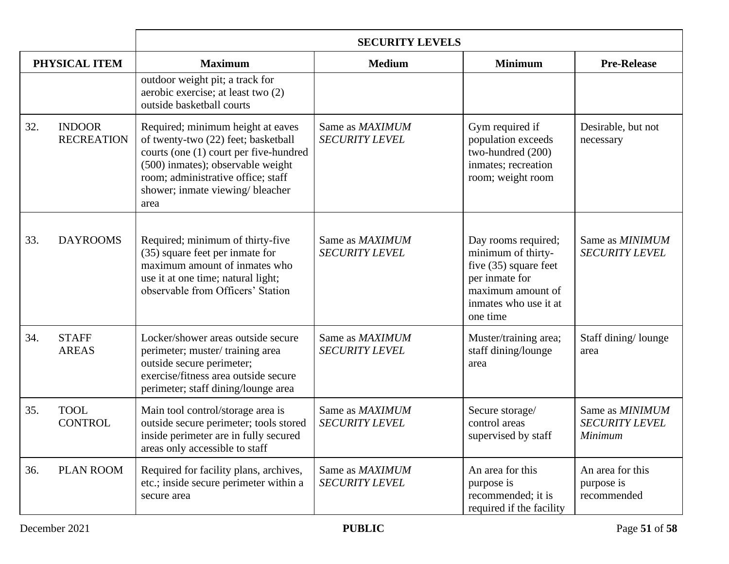|     |                                    | <b>SECURITY LEVELS</b>                                                                                                                                                                                                                    |                                          |                                                                                                                                                  |                                                            |
|-----|------------------------------------|-------------------------------------------------------------------------------------------------------------------------------------------------------------------------------------------------------------------------------------------|------------------------------------------|--------------------------------------------------------------------------------------------------------------------------------------------------|------------------------------------------------------------|
|     | PHYSICAL ITEM                      | <b>Maximum</b>                                                                                                                                                                                                                            | <b>Medium</b>                            | <b>Minimum</b>                                                                                                                                   | <b>Pre-Release</b>                                         |
|     |                                    | outdoor weight pit; a track for<br>aerobic exercise; at least two (2)<br>outside basketball courts                                                                                                                                        |                                          |                                                                                                                                                  |                                                            |
| 32. | <b>INDOOR</b><br><b>RECREATION</b> | Required; minimum height at eaves<br>of twenty-two (22) feet; basketball<br>courts (one (1) court per five-hundred<br>(500) inmates); observable weight<br>room; administrative office; staff<br>shower; inmate viewing/ bleacher<br>area | Same as MAXIMUM<br><b>SECURITY LEVEL</b> | Gym required if<br>population exceeds<br>two-hundred (200)<br>inmates; recreation<br>room; weight room                                           | Desirable, but not<br>necessary                            |
| 33. | <b>DAYROOMS</b>                    | Required; minimum of thirty-five<br>(35) square feet per inmate for<br>maximum amount of inmates who<br>use it at one time; natural light;<br>observable from Officers' Station                                                           | Same as MAXIMUM<br><b>SECURITY LEVEL</b> | Day rooms required;<br>minimum of thirty-<br>five $(35)$ square feet<br>per inmate for<br>maximum amount of<br>inmates who use it at<br>one time | Same as MINIMUM<br><b>SECURITY LEVEL</b>                   |
| 34. | <b>STAFF</b><br><b>AREAS</b>       | Locker/shower areas outside secure<br>perimeter; muster/training area<br>outside secure perimeter;<br>exercise/fitness area outside secure<br>perimeter; staff dining/lounge area                                                         | Same as MAXIMUM<br><b>SECURITY LEVEL</b> | Muster/training area;<br>staff dining/lounge<br>area                                                                                             | Staff dining/lounge<br>area                                |
| 35. | <b>TOOL</b><br><b>CONTROL</b>      | Main tool control/storage area is<br>outside secure perimeter; tools stored<br>inside perimeter are in fully secured<br>areas only accessible to staff                                                                                    | Same as MAXIMUM<br><b>SECURITY LEVEL</b> | Secure storage/<br>control areas<br>supervised by staff                                                                                          | Same as <i>MINIMUM</i><br><b>SECURITY LEVEL</b><br>Minimum |
| 36. | <b>PLAN ROOM</b>                   | Required for facility plans, archives,<br>etc.; inside secure perimeter within a<br>secure area                                                                                                                                           | Same as MAXIMUM<br><b>SECURITY LEVEL</b> | An area for this<br>purpose is<br>recommended; it is<br>required if the facility                                                                 | An area for this<br>purpose is<br>recommended              |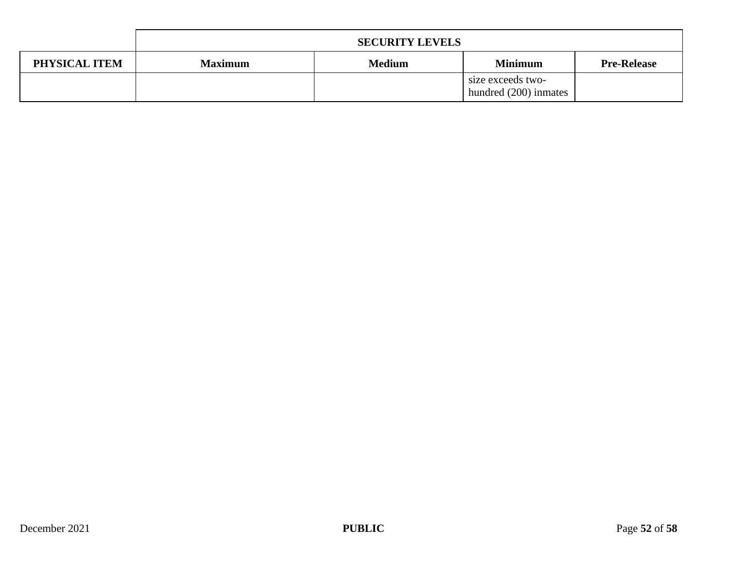|               | <b>SECURITY LEVELS</b> |               |                                            |                    |
|---------------|------------------------|---------------|--------------------------------------------|--------------------|
| PHYSICAL ITEM | <b>Maximum</b>         | <b>Medium</b> | <b>Minimum</b>                             | <b>Pre-Release</b> |
|               |                        |               | size exceeds two-<br>hundred (200) inmates |                    |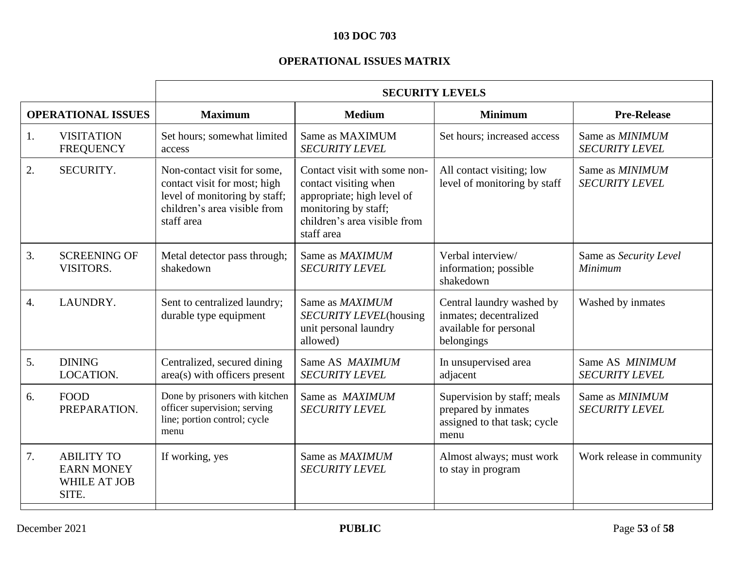# **103 DOC 703**

# **OPERATIONAL ISSUES MATRIX**

|    |                                                                 | <b>SECURITY LEVELS</b>                                                                                                                     |                                                                                                                                                           |                                                                                             |                                                 |
|----|-----------------------------------------------------------------|--------------------------------------------------------------------------------------------------------------------------------------------|-----------------------------------------------------------------------------------------------------------------------------------------------------------|---------------------------------------------------------------------------------------------|-------------------------------------------------|
|    | <b>OPERATIONAL ISSUES</b>                                       | <b>Maximum</b>                                                                                                                             | <b>Medium</b>                                                                                                                                             | <b>Minimum</b>                                                                              | <b>Pre-Release</b>                              |
| 1. | <b>VISITATION</b><br><b>FREQUENCY</b>                           | Set hours; somewhat limited<br>access                                                                                                      | Same as MAXIMUM<br><b>SECURITY LEVEL</b>                                                                                                                  | Set hours; increased access                                                                 | Same as MINIMUM<br><b>SECURITY LEVEL</b>        |
| 2. | SECURITY.                                                       | Non-contact visit for some,<br>contact visit for most; high<br>level of monitoring by staff;<br>children's area visible from<br>staff area | Contact visit with some non-<br>contact visiting when<br>appropriate; high level of<br>monitoring by staff;<br>children's area visible from<br>staff area | All contact visiting; low<br>level of monitoring by staff                                   | Same as MINIMUM<br><b>SECURITY LEVEL</b>        |
| 3. | <b>SCREENING OF</b><br>VISITORS.                                | Metal detector pass through;<br>shakedown                                                                                                  | Same as MAXIMUM<br><b>SECURITY LEVEL</b>                                                                                                                  | Verbal interview/<br>information; possible<br>shakedown                                     | Same as Security Level<br>Minimum               |
| 4. | LAUNDRY.                                                        | Sent to centralized laundry;<br>durable type equipment                                                                                     | Same as MAXIMUM<br>SECURITY LEVEL(housing<br>unit personal laundry<br>allowed)                                                                            | Central laundry washed by<br>inmates; decentralized<br>available for personal<br>belongings | Washed by inmates                               |
| 5. | <b>DINING</b><br>LOCATION.                                      | Centralized, secured dining<br>area(s) with officers present                                                                               | Same AS MAXIMUM<br><b>SECURITY LEVEL</b>                                                                                                                  | In unsupervised area<br>adjacent                                                            | Same AS MINIMUM<br><b>SECURITY LEVEL</b>        |
| 6. | <b>FOOD</b><br>PREPARATION.                                     | Done by prisoners with kitchen<br>officer supervision; serving<br>line; portion control; cycle<br>menu                                     | Same as MAXIMUM<br><b>SECURITY LEVEL</b>                                                                                                                  | Supervision by staff; meals<br>prepared by inmates<br>assigned to that task; cycle<br>menu  | Same as <i>MINIMUM</i><br><b>SECURITY LEVEL</b> |
| 7. | <b>ABILITY TO</b><br><b>EARN MONEY</b><br>WHILE AT JOB<br>SITE. | If working, yes                                                                                                                            | Same as MAXIMUM<br><b>SECURITY LEVEL</b>                                                                                                                  | Almost always; must work<br>to stay in program                                              | Work release in community                       |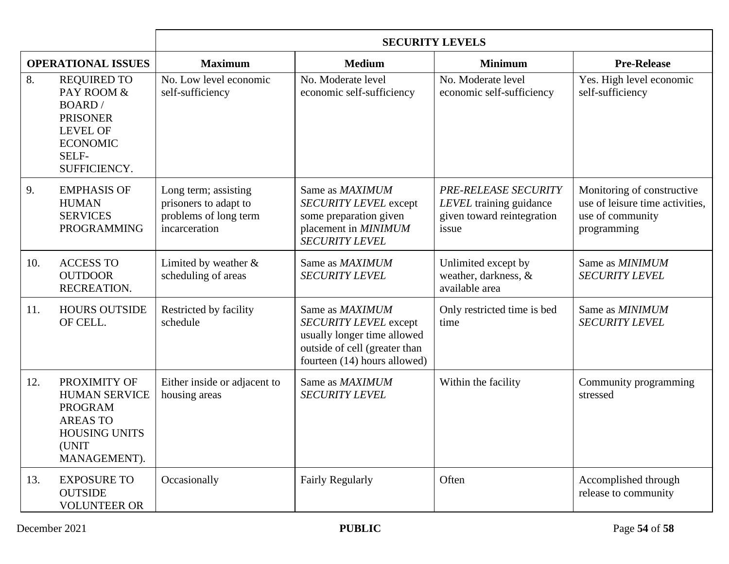|                           |                                                                                                                                      | <b>SECURITY LEVELS</b>                                                                  |                                                                                                                                          |                                                                                        |                                                                                                  |
|---------------------------|--------------------------------------------------------------------------------------------------------------------------------------|-----------------------------------------------------------------------------------------|------------------------------------------------------------------------------------------------------------------------------------------|----------------------------------------------------------------------------------------|--------------------------------------------------------------------------------------------------|
| <b>OPERATIONAL ISSUES</b> |                                                                                                                                      | <b>Maximum</b>                                                                          | <b>Medium</b>                                                                                                                            | <b>Minimum</b>                                                                         | <b>Pre-Release</b>                                                                               |
| 8.                        | <b>REQUIRED TO</b><br>PAY ROOM &<br><b>BOARD</b> /<br><b>PRISONER</b><br><b>LEVEL OF</b><br><b>ECONOMIC</b><br>SELF-<br>SUFFICIENCY. | No. Low level economic<br>self-sufficiency                                              | No. Moderate level<br>economic self-sufficiency                                                                                          | No. Moderate level<br>economic self-sufficiency                                        | Yes. High level economic<br>self-sufficiency                                                     |
| 9.                        | <b>EMPHASIS OF</b><br><b>HUMAN</b><br><b>SERVICES</b><br><b>PROGRAMMING</b>                                                          | Long term; assisting<br>prisoners to adapt to<br>problems of long term<br>incarceration | Same as MAXIMUM<br><b>SECURITY LEVEL except</b><br>some preparation given<br>placement in MINIMUM<br><b>SECURITY LEVEL</b>               | PRE-RELEASE SECURITY<br>LEVEL training guidance<br>given toward reintegration<br>issue | Monitoring of constructive<br>use of leisure time activities,<br>use of community<br>programming |
| 10.                       | <b>ACCESS TO</b><br><b>OUTDOOR</b><br>RECREATION.                                                                                    | Limited by weather $\&$<br>scheduling of areas                                          | Same as MAXIMUM<br><b>SECURITY LEVEL</b>                                                                                                 | Unlimited except by<br>weather, darkness, &<br>available area                          | Same as <b>MINIMUM</b><br><b>SECURITY LEVEL</b>                                                  |
| 11.                       | <b>HOURS OUTSIDE</b><br>OF CELL.                                                                                                     | Restricted by facility<br>schedule                                                      | Same as MAXIMUM<br>SECURITY LEVEL except<br>usually longer time allowed<br>outside of cell (greater than<br>fourteen (14) hours allowed) | Only restricted time is bed<br>time                                                    | Same as MINIMUM<br><b>SECURITY LEVEL</b>                                                         |
| 12.                       | PROXIMITY OF<br><b>HUMAN SERVICE</b><br><b>PROGRAM</b><br><b>AREAS TO</b><br><b>HOUSING UNITS</b><br>(UNIT<br>MANAGEMENT).           | Either inside or adjacent to<br>housing areas                                           | Same as MAXIMUM<br><b>SECURITY LEVEL</b>                                                                                                 | Within the facility                                                                    | Community programming<br>stressed                                                                |
| 13.                       | <b>EXPOSURE TO</b><br><b>OUTSIDE</b><br><b>VOLUNTEER OR</b>                                                                          | Occasionally                                                                            | <b>Fairly Regularly</b>                                                                                                                  | Often                                                                                  | Accomplished through<br>release to community                                                     |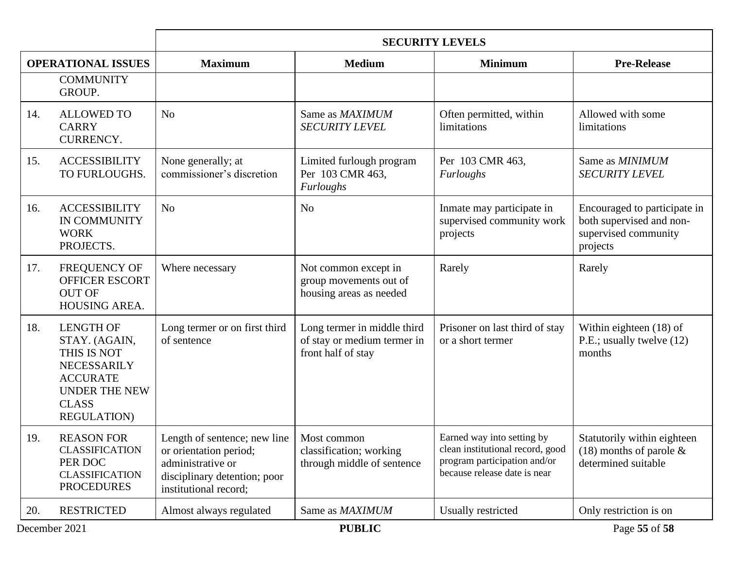|                           |                                                                                                                                                  | <b>SECURITY LEVELS</b>                                                                                                               |                                                                                  |                                                                                                                                |                                                                                              |
|---------------------------|--------------------------------------------------------------------------------------------------------------------------------------------------|--------------------------------------------------------------------------------------------------------------------------------------|----------------------------------------------------------------------------------|--------------------------------------------------------------------------------------------------------------------------------|----------------------------------------------------------------------------------------------|
| <b>OPERATIONAL ISSUES</b> |                                                                                                                                                  | <b>Maximum</b>                                                                                                                       | <b>Medium</b>                                                                    | <b>Minimum</b>                                                                                                                 | <b>Pre-Release</b>                                                                           |
|                           | <b>COMMUNITY</b><br>GROUP.                                                                                                                       |                                                                                                                                      |                                                                                  |                                                                                                                                |                                                                                              |
| 14.                       | <b>ALLOWED TO</b><br><b>CARRY</b><br>CURRENCY.                                                                                                   | N <sub>o</sub>                                                                                                                       | Same as MAXIMUM<br><b>SECURITY LEVEL</b>                                         | Often permitted, within<br>limitations                                                                                         | Allowed with some<br>limitations                                                             |
| 15.                       | <b>ACCESSIBILITY</b><br>TO FURLOUGHS.                                                                                                            | None generally; at<br>commissioner's discretion                                                                                      | Limited furlough program<br>Per 103 CMR 463,<br><b>Furloughs</b>                 | Per 103 CMR 463,<br>Furloughs                                                                                                  | Same as MINIMUM<br><b>SECURITY LEVEL</b>                                                     |
| 16.                       | <b>ACCESSIBILITY</b><br>IN COMMUNITY<br><b>WORK</b><br>PROJECTS.                                                                                 | N <sub>o</sub>                                                                                                                       | N <sub>o</sub>                                                                   | Inmate may participate in<br>supervised community work<br>projects                                                             | Encouraged to participate in<br>both supervised and non-<br>supervised community<br>projects |
| 17.                       | FREQUENCY OF<br><b>OFFICER ESCORT</b><br><b>OUT OF</b><br>HOUSING AREA.                                                                          | Where necessary                                                                                                                      | Not common except in<br>group movements out of<br>housing areas as needed        | Rarely                                                                                                                         | Rarely                                                                                       |
| 18.                       | <b>LENGTH OF</b><br>STAY. (AGAIN,<br>THIS IS NOT<br>NECESSARILY<br><b>ACCURATE</b><br><b>UNDER THE NEW</b><br><b>CLASS</b><br><b>REGULATION)</b> | Long termer or on first third<br>of sentence                                                                                         | Long termer in middle third<br>of stay or medium termer in<br>front half of stay | Prisoner on last third of stay<br>or a short termer                                                                            | Within eighteen (18) of<br>P.E.; usually twelve (12)<br>months                               |
| 19.                       | <b>REASON FOR</b><br><b>CLASSIFICATION</b><br>PER DOC<br><b>CLASSIFICATION</b><br><b>PROCEDURES</b>                                              | Length of sentence; new line<br>or orientation period;<br>administrative or<br>disciplinary detention; poor<br>institutional record; | Most common<br>classification; working<br>through middle of sentence             | Earned way into setting by<br>clean institutional record, good<br>program participation and/or<br>because release date is near | Statutorily within eighteen<br>$(18)$ months of parole &<br>determined suitable              |
| 20.                       | <b>RESTRICTED</b>                                                                                                                                | Almost always regulated                                                                                                              | Same as MAXIMUM                                                                  | Usually restricted                                                                                                             | Only restriction is on                                                                       |
| December 2021             |                                                                                                                                                  |                                                                                                                                      | <b>PUBLIC</b>                                                                    |                                                                                                                                | Page 55 of 58                                                                                |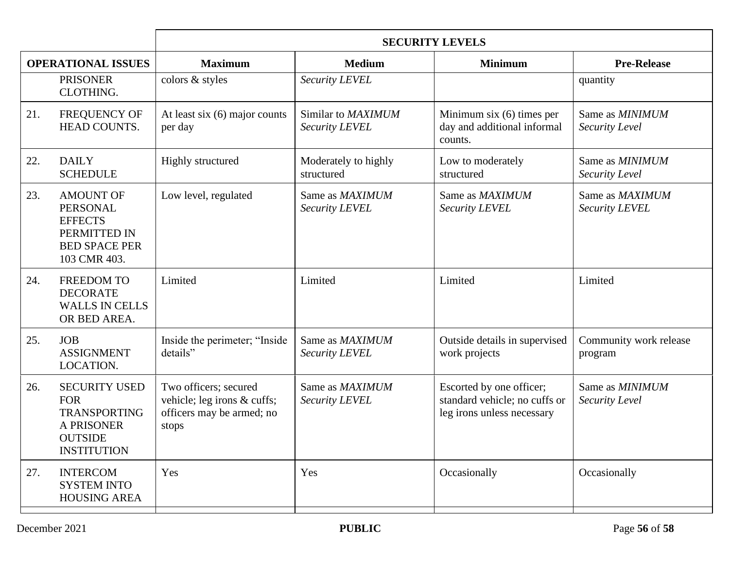|                           |                                                                                                                 | <b>SECURITY LEVELS</b>                                                                     |                                      |                                                                                         |                                   |  |
|---------------------------|-----------------------------------------------------------------------------------------------------------------|--------------------------------------------------------------------------------------------|--------------------------------------|-----------------------------------------------------------------------------------------|-----------------------------------|--|
| <b>OPERATIONAL ISSUES</b> |                                                                                                                 | <b>Maximum</b>                                                                             | <b>Medium</b>                        | <b>Minimum</b>                                                                          | <b>Pre-Release</b>                |  |
|                           | <b>PRISONER</b><br>CLOTHING.                                                                                    | colors & styles                                                                            | Security LEVEL                       |                                                                                         | quantity                          |  |
| 21.                       | FREQUENCY OF<br><b>HEAD COUNTS.</b>                                                                             | At least six $(6)$ major counts<br>per day                                                 | Similar to MAXIMUM<br>Security LEVEL | Minimum six $(6)$ times per<br>day and additional informal<br>counts.                   | Same as MINIMUM<br>Security Level |  |
| 22.                       | <b>DAILY</b><br><b>SCHEDULE</b>                                                                                 | Highly structured                                                                          | Moderately to highly<br>structured   | Low to moderately<br>structured                                                         | Same as MINIMUM<br>Security Level |  |
| 23.                       | <b>AMOUNT OF</b><br><b>PERSONAL</b><br><b>EFFECTS</b><br>PERMITTED IN<br><b>BED SPACE PER</b><br>103 CMR 403.   | Low level, regulated                                                                       | Same as MAXIMUM<br>Security LEVEL    | Same as MAXIMUM<br>Security LEVEL                                                       | Same as MAXIMUM<br>Security LEVEL |  |
| 24.                       | <b>FREEDOM TO</b><br><b>DECORATE</b><br><b>WALLS IN CELLS</b><br>OR BED AREA.                                   | Limited                                                                                    | Limited                              | Limited                                                                                 | Limited                           |  |
| 25.                       | <b>JOB</b><br><b>ASSIGNMENT</b><br>LOCATION.                                                                    | Inside the perimeter; "Inside<br>details"                                                  | Same as MAXIMUM<br>Security LEVEL    | Outside details in supervised<br>work projects                                          | Community work release<br>program |  |
| 26.                       | <b>SECURITY USED</b><br><b>FOR</b><br><b>TRANSPORTING</b><br>A PRISONER<br><b>OUTSIDE</b><br><b>INSTITUTION</b> | Two officers; secured<br>vehicle; leg irons & cuffs;<br>officers may be armed; no<br>stops | Same as MAXIMUM<br>Security LEVEL    | Escorted by one officer;<br>standard vehicle; no cuffs or<br>leg irons unless necessary | Same as MINIMUM<br>Security Level |  |
| 27.                       | <b>INTERCOM</b><br><b>SYSTEM INTO</b><br><b>HOUSING AREA</b>                                                    | Yes                                                                                        | Yes                                  | Occasionally                                                                            | Occasionally                      |  |
|                           |                                                                                                                 |                                                                                            |                                      |                                                                                         |                                   |  |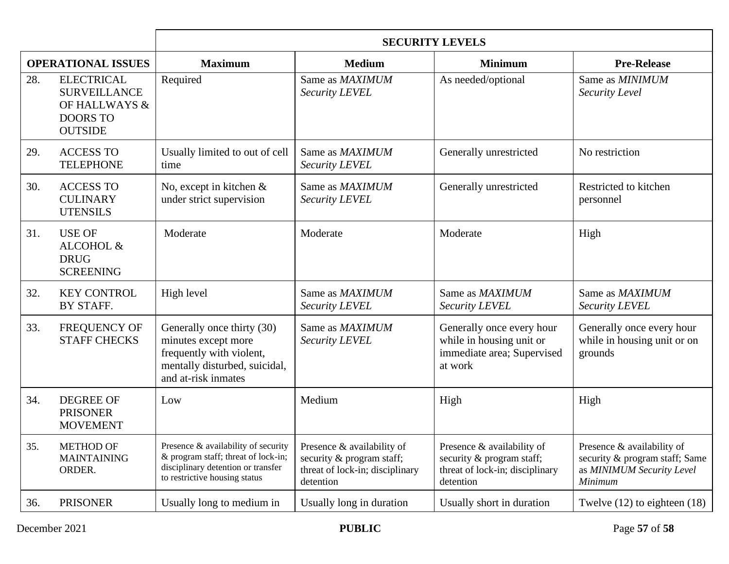|                           |                                                                                                | <b>SECURITY LEVELS</b>                                                                                                                            |                                                                                                         |                                                                                                         |                                                                                                      |
|---------------------------|------------------------------------------------------------------------------------------------|---------------------------------------------------------------------------------------------------------------------------------------------------|---------------------------------------------------------------------------------------------------------|---------------------------------------------------------------------------------------------------------|------------------------------------------------------------------------------------------------------|
| <b>OPERATIONAL ISSUES</b> |                                                                                                | <b>Maximum</b>                                                                                                                                    | <b>Medium</b>                                                                                           | <b>Minimum</b>                                                                                          | <b>Pre-Release</b>                                                                                   |
| 28.                       | <b>ELECTRICAL</b><br><b>SURVEILLANCE</b><br>OF HALLWAYS &<br><b>DOORS TO</b><br><b>OUTSIDE</b> | Required                                                                                                                                          | Same as MAXIMUM<br>Security LEVEL                                                                       | As needed/optional                                                                                      | Same as <i>MINIMUM</i><br>Security Level                                                             |
| 29.                       | <b>ACCESS TO</b><br><b>TELEPHONE</b>                                                           | Usually limited to out of cell<br>time                                                                                                            | Same as MAXIMUM<br>Security LEVEL                                                                       | Generally unrestricted                                                                                  | No restriction                                                                                       |
| 30.                       | <b>ACCESS TO</b><br><b>CULINARY</b><br><b>UTENSILS</b>                                         | No, except in kitchen &<br>under strict supervision                                                                                               | Same as MAXIMUM<br>Security LEVEL                                                                       | Generally unrestricted                                                                                  | Restricted to kitchen<br>personnel                                                                   |
| 31.                       | <b>USE OF</b><br>ALCOHOL &<br><b>DRUG</b><br><b>SCREENING</b>                                  | Moderate                                                                                                                                          | Moderate                                                                                                | Moderate                                                                                                | High                                                                                                 |
| 32.                       | <b>KEY CONTROL</b><br>BY STAFF.                                                                | High level                                                                                                                                        | Same as <i>MAXIMUM</i><br>Security LEVEL                                                                | Same as MAXIMUM<br>Security LEVEL                                                                       | Same as MAXIMUM<br>Security LEVEL                                                                    |
| 33.                       | FREQUENCY OF<br><b>STAFF CHECKS</b>                                                            | Generally once thirty (30)<br>minutes except more<br>frequently with violent,<br>mentally disturbed, suicidal,<br>and at-risk inmates             | Same as MAXIMUM<br>Security LEVEL                                                                       | Generally once every hour<br>while in housing unit or<br>immediate area; Supervised<br>at work          | Generally once every hour<br>while in housing unit or on<br>grounds                                  |
| 34.                       | <b>DEGREE OF</b><br><b>PRISONER</b><br><b>MOVEMENT</b>                                         | Low                                                                                                                                               | Medium                                                                                                  | High                                                                                                    | High                                                                                                 |
| 35.                       | <b>METHOD OF</b><br><b>MAINTAINING</b><br>ORDER.                                               | Presence & availability of security<br>& program staff; threat of lock-in;<br>disciplinary detention or transfer<br>to restrictive housing status | Presence & availability of<br>security & program staff;<br>threat of lock-in; disciplinary<br>detention | Presence & availability of<br>security & program staff;<br>threat of lock-in; disciplinary<br>detention | Presence & availability of<br>security & program staff; Same<br>as MINIMUM Security Level<br>Minimum |
| 36.                       | <b>PRISONER</b>                                                                                | Usually long to medium in                                                                                                                         | Usually long in duration                                                                                | Usually short in duration                                                                               | Twelve $(12)$ to eighteen $(18)$                                                                     |